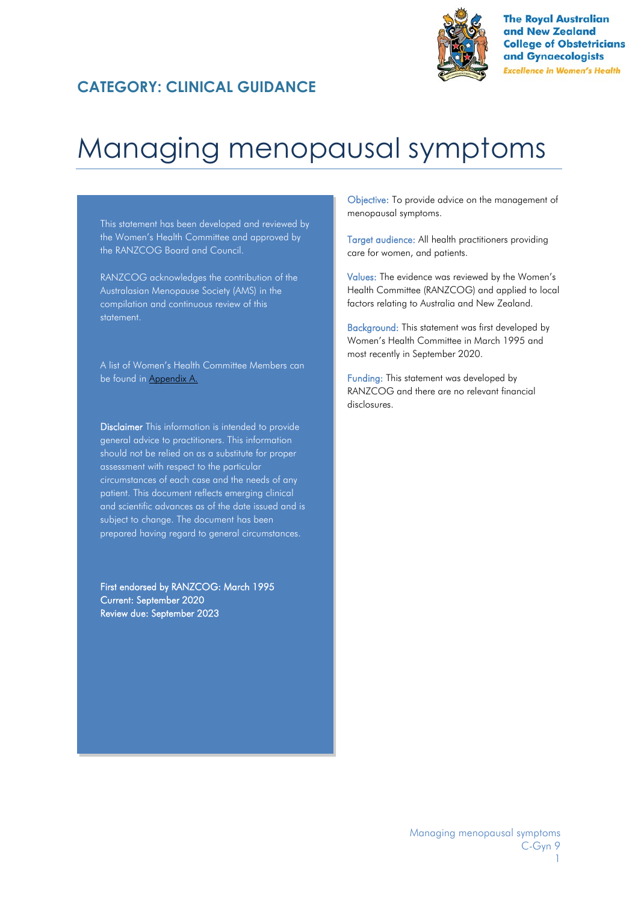### **CATEGORY: CLINICAL GUIDANCE**



**The Royal Australian** and New Zealand **College of Obstetricians** and Gynaecologists **Excellence in Women's Health** 

# Managing menopausal symptoms

This statement has been developed and reviewed by the Women's Health Committee and approved by the RANZCOG Board and Council.

RANZCOG acknowledges the contribution of the Australasian Menopause Society (AMS) in the compilation and continuous review of this statement.

A list of Women's Health Committee Members can be found in [Appendix](#page-25-0) A.

**Disclaimer** This information is intended to provide general advice to practitioners. This information should not be relied on as a substitute for proper assessment with respect to the particular circumstances of each case and the needs of any patient. This document reflects emerging clinical and scientific advances as of the date issued and is subject to change. The document has been prepared having regard to general circumstances.

First endorsed by RANZCOG: March 1995 Current: September 2020 Review due: September 2023

Objective: To provide advice on the management of menopausal symptoms.

Target audience: All health practitioners providing care for women, and patients.

Values: The evidence was reviewed by the Women's Health Committee (RANZCOG) and applied to local factors relating to Australia and New Zealand.

Background: This statement was first developed by Women's Health Committee in March 1995 and most recently in September 2020.

Funding: This statement was developed by RANZCOG and there are no relevant financial disclosures.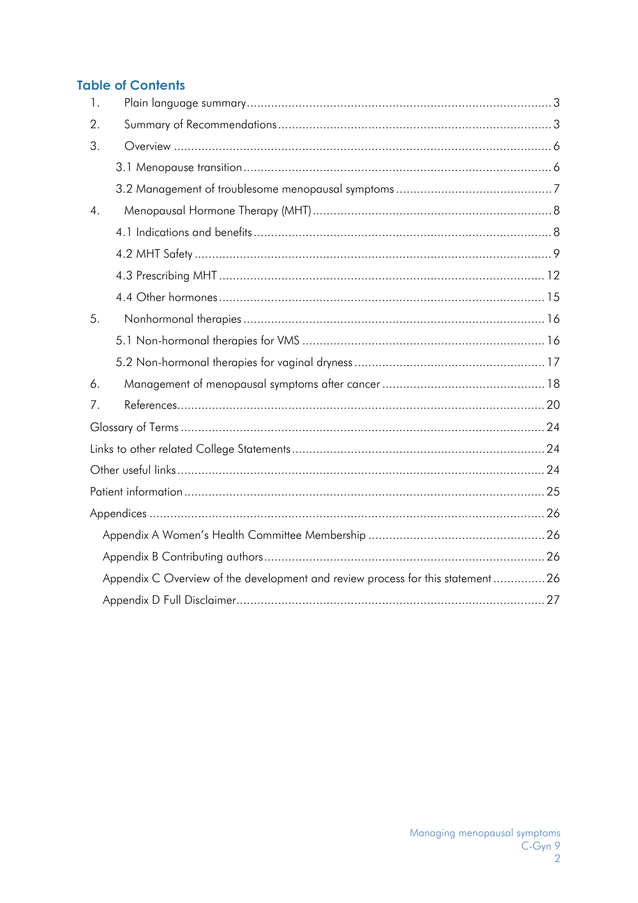### **Table of Contents**

| $\mathbf{1}$ .   |                                                                                |  |
|------------------|--------------------------------------------------------------------------------|--|
| 2.               |                                                                                |  |
| 3.               |                                                                                |  |
|                  |                                                                                |  |
|                  |                                                                                |  |
| $\overline{4}$ . |                                                                                |  |
|                  |                                                                                |  |
|                  |                                                                                |  |
|                  |                                                                                |  |
|                  |                                                                                |  |
| 5.               |                                                                                |  |
|                  |                                                                                |  |
|                  |                                                                                |  |
| 6.               |                                                                                |  |
| 7.               |                                                                                |  |
|                  |                                                                                |  |
|                  |                                                                                |  |
|                  |                                                                                |  |
|                  |                                                                                |  |
|                  |                                                                                |  |
|                  |                                                                                |  |
|                  |                                                                                |  |
|                  | Appendix C Overview of the development and review process for this statement26 |  |
|                  |                                                                                |  |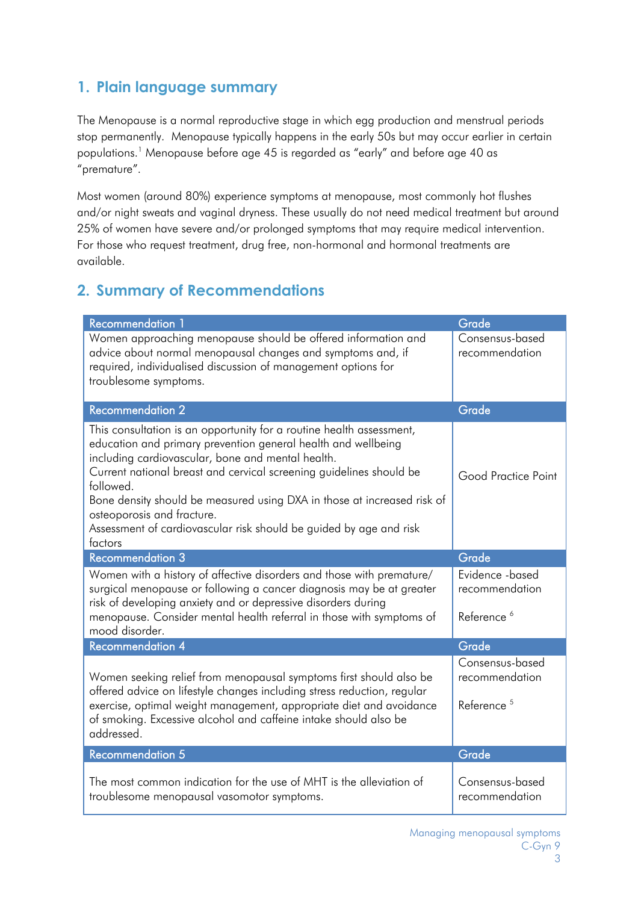### <span id="page-2-0"></span>**1. Plain language summary**

The Menopause is a normal reproductive stage in which egg production and menstrual periods stop permanently. Menopause typically happens in the early 50s but may occur earlier in certain populations.1 Menopause before age 45 is regarded as "early" and before age 40 as "premature".

Most women (around 80%) experience symptoms at menopause, most commonly hot flushes and/or night sweats and vaginal dryness. These usually do not need medical treatment but around 25% of women have severe and/or prolonged symptoms that may require medical intervention. For those who request treatment, drug free, non-hormonal and hormonal treatments are available.

# <span id="page-2-1"></span>**2. Summary of Recommendations**

| <b>Recommendation 1</b>                                                                                                                                                                                                                                                                                                                                                                                                                                                  | Grade                                                       |
|--------------------------------------------------------------------------------------------------------------------------------------------------------------------------------------------------------------------------------------------------------------------------------------------------------------------------------------------------------------------------------------------------------------------------------------------------------------------------|-------------------------------------------------------------|
| Women approaching menopause should be offered information and<br>advice about normal menopausal changes and symptoms and, if<br>required, individualised discussion of management options for<br>troublesome symptoms.                                                                                                                                                                                                                                                   | Consensus-based<br>recommendation                           |
| <b>Recommendation 2</b>                                                                                                                                                                                                                                                                                                                                                                                                                                                  | Grade                                                       |
| This consultation is an opportunity for a routine health assessment,<br>education and primary prevention general health and wellbeing<br>including cardiovascular, bone and mental health.<br>Current national breast and cervical screening guidelines should be<br>followed.<br>Bone density should be measured using DXA in those at increased risk of<br>osteoporosis and fracture.<br>Assessment of cardiovascular risk should be guided by age and risk<br>factors | Good Practice Point                                         |
| <b>Recommendation 3</b>                                                                                                                                                                                                                                                                                                                                                                                                                                                  | Grade                                                       |
| Women with a history of affective disorders and those with premature/<br>surgical menopause or following a cancer diagnosis may be at greater<br>risk of developing anxiety and or depressive disorders during<br>menopause. Consider mental health referral in those with symptoms of<br>mood disorder.                                                                                                                                                                 | Evidence -based<br>recommendation<br>Reference <sup>6</sup> |
| <b>Recommendation 4</b>                                                                                                                                                                                                                                                                                                                                                                                                                                                  | Grade                                                       |
| Women seeking relief from menopausal symptoms first should also be<br>offered advice on lifestyle changes including stress reduction, regular<br>exercise, optimal weight management, appropriate diet and avoidance<br>of smoking. Excessive alcohol and caffeine intake should also be<br>addressed.                                                                                                                                                                   | Consensus-based<br>recommendation<br>Reference <sup>5</sup> |
| <b>Recommendation 5</b>                                                                                                                                                                                                                                                                                                                                                                                                                                                  | Grade                                                       |
| The most common indication for the use of MHT is the alleviation of<br>troublesome menopausal vasomotor symptoms.                                                                                                                                                                                                                                                                                                                                                        | Consensus-based<br>recommendation                           |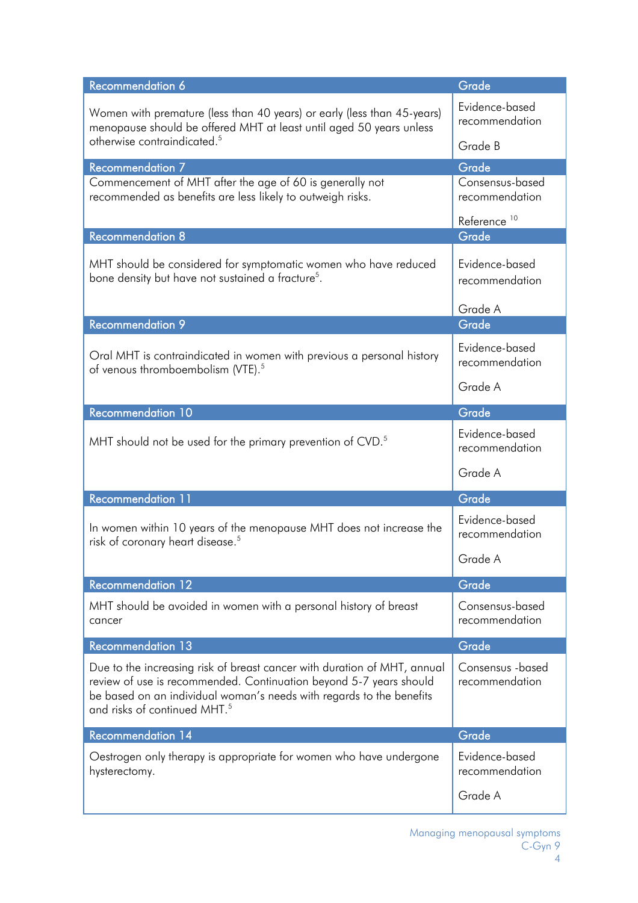| Recommendation 6                                                                                                                                                                                                                                                   | Grade                               |
|--------------------------------------------------------------------------------------------------------------------------------------------------------------------------------------------------------------------------------------------------------------------|-------------------------------------|
| Women with premature (less than 40 years) or early (less than 45-years)<br>menopause should be offered MHT at least until aged 50 years unless                                                                                                                     | Evidence-based<br>recommendation    |
| otherwise contraindicated. <sup>5</sup>                                                                                                                                                                                                                            | Grade B                             |
| <b>Recommendation 7</b>                                                                                                                                                                                                                                            | Grade                               |
| Commencement of MHT after the age of 60 is generally not<br>recommended as benefits are less likely to outweigh risks.                                                                                                                                             | Consensus-based<br>recommendation   |
| <b>Recommendation 8</b>                                                                                                                                                                                                                                            | Reference <sup>10</sup><br>Grade    |
| MHT should be considered for symptomatic women who have reduced<br>bone density but have not sustained a fracture <sup>5</sup> .                                                                                                                                   | Evidence-based<br>recommendation    |
|                                                                                                                                                                                                                                                                    | Grade A                             |
| <b>Recommendation 9</b>                                                                                                                                                                                                                                            | Grade                               |
| Oral MHT is contraindicated in women with previous a personal history<br>of venous thromboembolism (VTE). <sup>5</sup>                                                                                                                                             | Evidence-based<br>recommendation    |
|                                                                                                                                                                                                                                                                    | Grade A                             |
| <b>Recommendation 10</b>                                                                                                                                                                                                                                           | Grade                               |
| MHT should not be used for the primary prevention of CVD. <sup>5</sup>                                                                                                                                                                                             | Evidence-based<br>recommendation    |
|                                                                                                                                                                                                                                                                    | Grade A                             |
| <b>Recommendation 11</b>                                                                                                                                                                                                                                           | Grade                               |
| In women within 10 years of the menopause MHT does not increase the<br>risk of coronary heart disease. <sup>5</sup>                                                                                                                                                | Evidence-based<br>recommendation    |
|                                                                                                                                                                                                                                                                    | Grade A                             |
| <b>Recommendation 12</b>                                                                                                                                                                                                                                           | Grade                               |
| MHT should be avoided in women with a personal history of breast<br>cancer                                                                                                                                                                                         | Consensus-based<br>recommendation   |
| <b>Recommendation 13</b>                                                                                                                                                                                                                                           | Grade                               |
| Due to the increasing risk of breast cancer with duration of MHT, annual<br>review of use is recommended. Continuation beyond 5-7 years should<br>be based on an individual woman's needs with regards to the benefits<br>and risks of continued MHT. <sup>5</sup> | Consensus - based<br>recommendation |
| <b>Recommendation 14</b>                                                                                                                                                                                                                                           | Grade                               |
| Oestrogen only therapy is appropriate for women who have undergone<br>hysterectomy.                                                                                                                                                                                | Evidence-based<br>recommendation    |
|                                                                                                                                                                                                                                                                    | Grade A                             |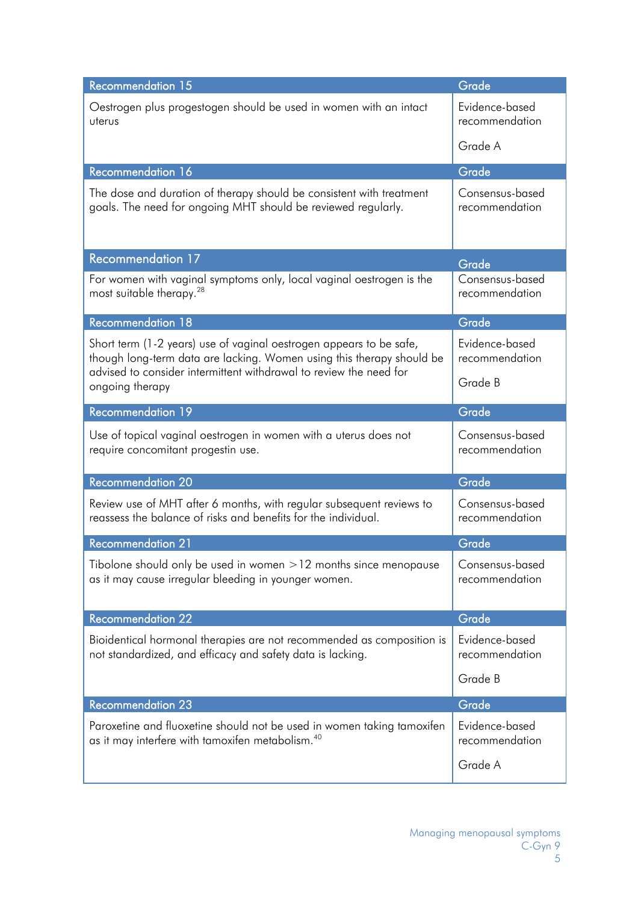| <b>Recommendation 15</b>                                                                                                                     | Grade                             |
|----------------------------------------------------------------------------------------------------------------------------------------------|-----------------------------------|
| Oestrogen plus progestogen should be used in women with an intact<br>uterus                                                                  | Evidence-based<br>recommendation  |
|                                                                                                                                              | Grade A                           |
| <b>Recommendation 16</b>                                                                                                                     | Grade                             |
| The dose and duration of therapy should be consistent with treatment<br>goals. The need for ongoing MHT should be reviewed regularly.        | Consensus-based<br>recommendation |
| <b>Recommendation 17</b>                                                                                                                     | Grade                             |
| For women with vaginal symptoms only, local vaginal oestrogen is the<br>most suitable therapy. <sup>28</sup>                                 | Consensus-based<br>recommendation |
| <b>Recommendation 18</b>                                                                                                                     | Grade                             |
| Short term (1-2 years) use of vaginal oestrogen appears to be safe,<br>though long-term data are lacking. Women using this therapy should be | Evidence-based<br>recommendation  |
| advised to consider intermittent withdrawal to review the need for<br>ongoing therapy                                                        | Grade B                           |
| <b>Recommendation 19</b>                                                                                                                     | Grade                             |
| Use of topical vaginal oestrogen in women with a uterus does not<br>require concomitant progestin use.                                       | Consensus-based<br>recommendation |
| <b>Recommendation 20</b>                                                                                                                     | Grade                             |
| Review use of MHT after 6 months, with regular subsequent reviews to<br>reassess the balance of risks and benefits for the individual.       | Consensus-based<br>recommendation |
| <b>Recommendation 21</b>                                                                                                                     | Grade                             |
| Tibolone should only be used in women > 12 months since menopause<br>as it may cause irregular bleeding in younger women.                    | Consensus-based<br>recommendation |
| <b>Recommendation 22</b>                                                                                                                     | Grade                             |
| Bioidentical hormonal therapies are not recommended as composition is<br>not standardized, and efficacy and safety data is lacking.          | Evidence-based<br>recommendation  |
|                                                                                                                                              | Grade B                           |
| <b>Recommendation 23</b>                                                                                                                     | Grade                             |
| Paroxetine and fluoxetine should not be used in women taking tamoxifen<br>as it may interfere with tamoxifen metabolism. <sup>40</sup>       | Evidence-based<br>recommendation  |
|                                                                                                                                              | Grade A                           |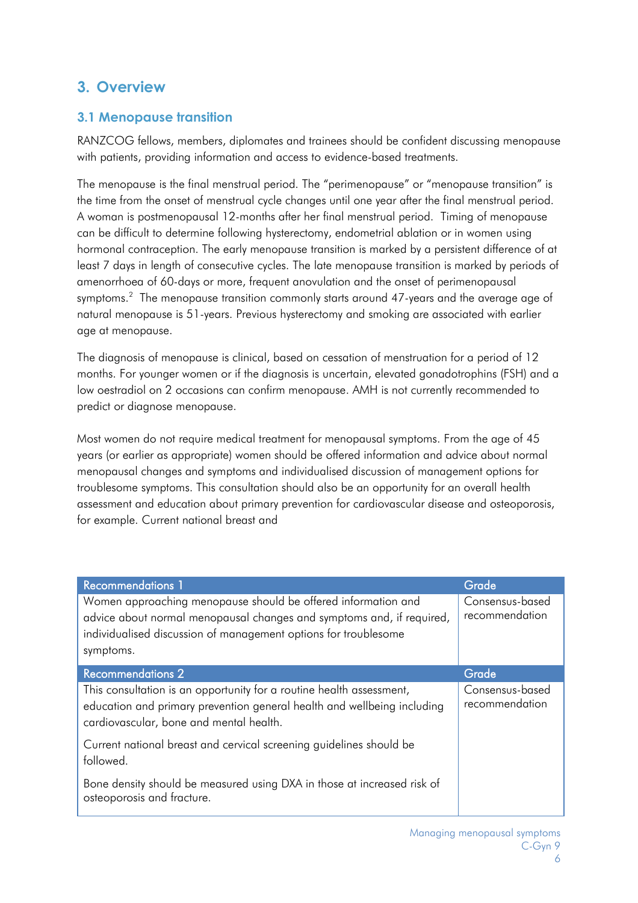### **3. Overview**

### <span id="page-5-0"></span>**3.1 Menopause transition**

RANZCOG fellows, members, diplomates and trainees should be confident discussing menopause with patients, providing information and access to evidence-based treatments.

The menopause is the final menstrual period. The "perimenopause" or "menopause transition" is the time from the onset of menstrual cycle changes until one year after the final menstrual period. A woman is postmenopausal 12-months after her final menstrual period. Timing of menopause can be difficult to determine following hysterectomy, endometrial ablation or in women using hormonal contraception. The early menopause transition is marked by a persistent difference of at least 7 days in length of consecutive cycles. The late menopause transition is marked by periods of amenorrhoea of 60-days or more, frequent anovulation and the onset of perimenopausal symptoms. $^2\,$  The menopause transition commonly starts around 47-years and the average age of natural menopause is 51-years. Previous hysterectomy and smoking are associated with earlier age at menopause.

The diagnosis of menopause is clinical, based on cessation of menstruation for a period of 12 months. For younger women or if the diagnosis is uncertain, elevated gonadotrophins (FSH) and a low oestradiol on 2 occasions can confirm menopause. AMH is not currently recommended to predict or diagnose menopause.

Most women do not require medical treatment for menopausal symptoms. From the age of 45 years (or earlier as appropriate) women should be offered information and advice about normal menopausal changes and symptoms and individualised discussion of management options for troublesome symptoms. This consultation should also be an opportunity for an overall health assessment and education about primary prevention for cardiovascular disease and osteoporosis, for example. Current national breast and

| <b>Recommendations 1</b>                                                                                                                                                                   | Grade                             |
|--------------------------------------------------------------------------------------------------------------------------------------------------------------------------------------------|-----------------------------------|
| Women approaching menopause should be offered information and<br>advice about normal menopausal changes and symptoms and, if required,                                                     | Consensus-based<br>recommendation |
| individualised discussion of management options for troublesome                                                                                                                            |                                   |
| symptoms.                                                                                                                                                                                  |                                   |
| <b>Recommendations 2</b>                                                                                                                                                                   | Grade                             |
| This consultation is an opportunity for a routine health assessment,<br>education and primary prevention general health and wellbeing including<br>cardiovascular, bone and mental health. | Consensus-based<br>recommendation |
| Current national breast and cervical screening guidelines should be<br>followed.                                                                                                           |                                   |
| Bone density should be measured using DXA in those at increased risk of<br>osteoporosis and fracture.                                                                                      |                                   |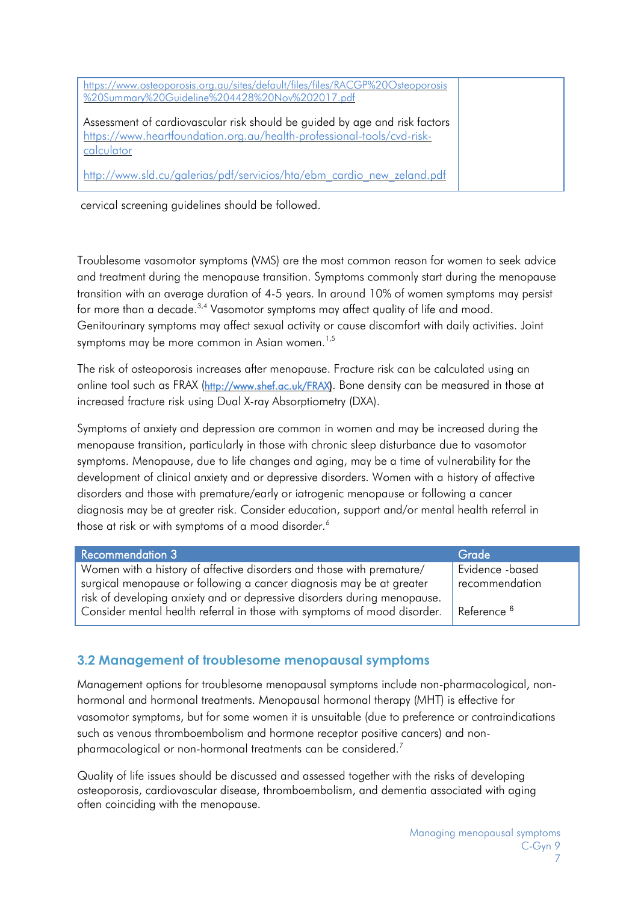| https://www.osteoporosis.org.au/sites/default/files/files/RACGP%20Osteoporosis<br>%20Summary%20Guideline%204428%20Nov%202017.pdf                                   |  |
|--------------------------------------------------------------------------------------------------------------------------------------------------------------------|--|
| Assessment of cardiovascular risk should be guided by age and risk factors<br>https://www.heartfoundation.org.au/health-professional-tools/cvd-risk-<br>calculator |  |
| http://www.sld.cu/galerias/pdf/servicios/hta/ebm cardio new zeland.pdf                                                                                             |  |

cervical screening guidelines should be followed.

Troublesome vasomotor symptoms (VMS) are the most common reason for women to seek advice and treatment during the menopause transition. Symptoms commonly start during the menopause transition with an average duration of 4-5 years. In around 10% of women symptoms may persist for more than a decade.<sup>3,4</sup> Vasomotor symptoms may affect quality of life and mood. Genitourinary symptoms may affect sexual activity or cause discomfort with daily activities. Joint symptoms may be more common in Asian women.<sup>1,5</sup>

The risk of osteoporosis increases after menopause. Fracture risk can be calculated using an online tool such as FRAX [\(http://www.shef.ac.uk/FRAX\).](http://www.shef.ac.uk/frax) Bone density can be measured in those at increased fracture risk using Dual X-ray Absorptiometry (DXA).

Symptoms of anxiety and depression are common in women and may be increased during the menopause transition, particularly in those with chronic sleep disturbance due to vasomotor symptoms. Menopause, due to life changes and aging, may be a time of vulnerability for the development of clinical anxiety and or depressive disorders. Women with a history of affective disorders and those with premature/early or iatrogenic menopause or following a cancer diagnosis may be at greater risk. Consider education, support and/or mental health referral in those at risk or with symptoms of a mood disorder.<sup>6</sup>

| <b>Recommendation 3</b>                                                  | Grade                  |
|--------------------------------------------------------------------------|------------------------|
| Women with a history of affective disorders and those with premature/    | Evidence -based        |
| surgical menopause or following a cancer diagnosis may be at greater     | recommendation         |
| risk of developing anxiety and or depressive disorders during menopause. |                        |
| Consider mental health referral in those with symptoms of mood disorder. | Reference <sup>6</sup> |

### <span id="page-6-0"></span>**3.2 Management of troublesome menopausal symptoms**

Management options for troublesome menopausal symptoms include non-pharmacological, nonhormonal and hormonal treatments. Menopausal hormonal therapy (MHT) is effective for vasomotor symptoms, but for some women it is unsuitable (due to preference or contraindications such as venous thromboembolism and hormone receptor positive cancers) and nonpharmacological or non-hormonal treatments can be considered.<sup>7</sup>

Quality of life issues should be discussed and assessed together with the risks of developing osteoporosis, cardiovascular disease, thromboembolism, and dementia associated with aging often coinciding with the menopause.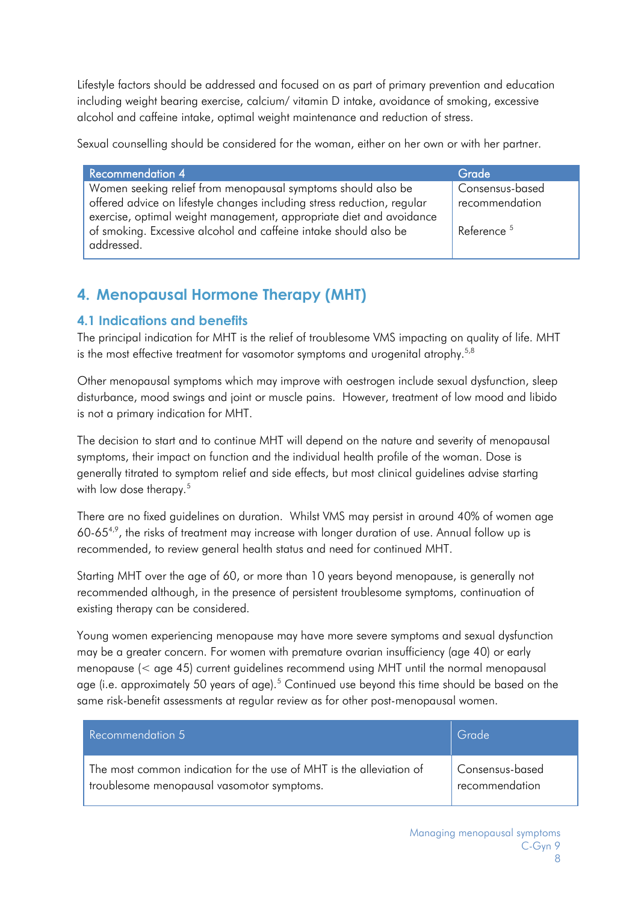Lifestyle factors should be addressed and focused on as part of primary prevention and education including weight bearing exercise, calcium/ vitamin D intake, avoidance of smoking, excessive alcohol and caffeine intake, optimal weight maintenance and reduction of stress.

Sexual counselling should be considered for the woman, either on her own or with her partner.

| <b>Recommendation 4</b>                                                                                                                               | Grade                  |
|-------------------------------------------------------------------------------------------------------------------------------------------------------|------------------------|
| Women seeking relief from menopausal symptoms should also be                                                                                          | Consensus-based        |
| offered advice on lifestyle changes including stress reduction, regular                                                                               | recommendation         |
| exercise, optimal weight management, appropriate diet and avoidance<br>of smoking. Excessive alcohol and caffeine intake should also be<br>addressed. | Reference <sup>5</sup> |

# <span id="page-7-0"></span>**4. Menopausal Hormone Therapy (MHT)**

#### <span id="page-7-1"></span>**4.1 Indications and benefits**

The principal indication for MHT is the relief of troublesome VMS impacting on quality of life. MHT is the most effective treatment for vasomotor symptoms and urogenital atrophy.<sup>5,8</sup>

Other menopausal symptoms which may improve with oestrogen include sexual dysfunction, sleep disturbance, mood swings and joint or muscle pains. However, treatment of low mood and libido is not a primary indication for MHT.

The decision to start and to continue MHT will depend on the nature and severity of menopausal symptoms, their impact on function and the individual health profile of the woman. Dose is generally titrated to symptom relief and side effects, but most clinical guidelines advise starting with low dose therapy. 5

There are no fixed guidelines on duration. Whilst VMS may persist in around 40% of women age 60-65 $4.9$ , the risks of treatment may increase with longer duration of use. Annual follow up is recommended, to review general health status and need for continued MHT.

Starting MHT over the age of 60, or more than 10 years beyond menopause, is generally not recommended although, in the presence of persistent troublesome symptoms, continuation of existing therapy can be considered.

Young women experiencing menopause may have more severe symptoms and sexual dysfunction may be a greater concern. For women with premature ovarian insufficiency (age 40) or early menopause (< age 45) current guidelines recommend using MHT until the normal menopausal age (i.e. approximately 50 years of age).<sup>5</sup> Continued use beyond this time should be based on the same risk-benefit assessments at regular review as for other post-menopausal women.

| Recommendation 5                                                                                                  | Grade                             |
|-------------------------------------------------------------------------------------------------------------------|-----------------------------------|
| The most common indication for the use of MHT is the alleviation of<br>troublesome menopausal vasomotor symptoms. | Consensus-based<br>recommendation |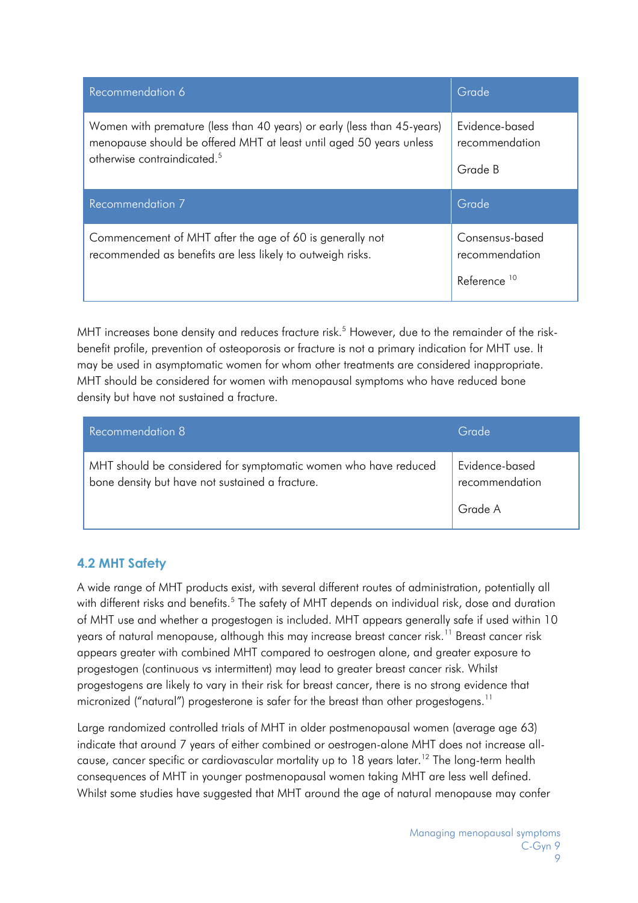| Recommendation 6                                                                                                                                                                          | Grade                                                        |
|-------------------------------------------------------------------------------------------------------------------------------------------------------------------------------------------|--------------------------------------------------------------|
| Women with premature (less than 40 years) or early (less than 45-years)<br>menopause should be offered MHT at least until aged 50 years unless<br>otherwise contraindicated. <sup>5</sup> | Evidence-based<br>recommendation<br>Grade B                  |
| Recommendation 7                                                                                                                                                                          | Grade                                                        |
| Commencement of MHT after the age of 60 is generally not<br>recommended as benefits are less likely to outweigh risks.                                                                    | Consensus-based<br>recommendation<br>Reference <sup>10</sup> |

MHT increases bone density and reduces fracture risk.<sup>5</sup> However, due to the remainder of the riskbenefit profile, prevention of osteoporosis or fracture is not a primary indication for MHT use. It may be used in asymptomatic women for whom other treatments are considered inappropriate. MHT should be considered for women with menopausal symptoms who have reduced bone density but have not sustained a fracture.

| Recommendation 8                                                                                                   | Grade                            |
|--------------------------------------------------------------------------------------------------------------------|----------------------------------|
| MHT should be considered for symptomatic women who have reduced<br>bone density but have not sustained a fracture. | Evidence-based<br>recommendation |
|                                                                                                                    | Grade A                          |

#### <span id="page-8-0"></span>**4.2 MHT Safety**

A wide range of MHT products exist, with several different routes of administration, potentially all with different risks and benefits.<sup>5</sup> The safety of MHT depends on individual risk, dose and duration of MHT use and whether a progestogen is included. MHT appears generally safe if used within 10 years of natural menopause, although this may increase breast cancer risk.<sup>11</sup> Breast cancer risk appears greater with combined MHT compared to oestrogen alone, and greater exposure to progestogen (continuous vs intermittent) may lead to greater breast cancer risk. Whilst progestogens are likely to vary in their risk for breast cancer, there is no strong evidence that micronized ("natural") progesterone is safer for the breast than other progestogens.<sup>11</sup>

Large randomized controlled trials of MHT in older postmenopausal women (average age 63) indicate that around 7 years of either combined or oestrogen-alone MHT does not increase allcause, cancer specific or cardiovascular mortality up to 18 years later.<sup>12</sup> The long-term health consequences of MHT in younger postmenopausal women taking MHT are less well defined. Whilst some studies have suggested that MHT around the age of natural menopause may confer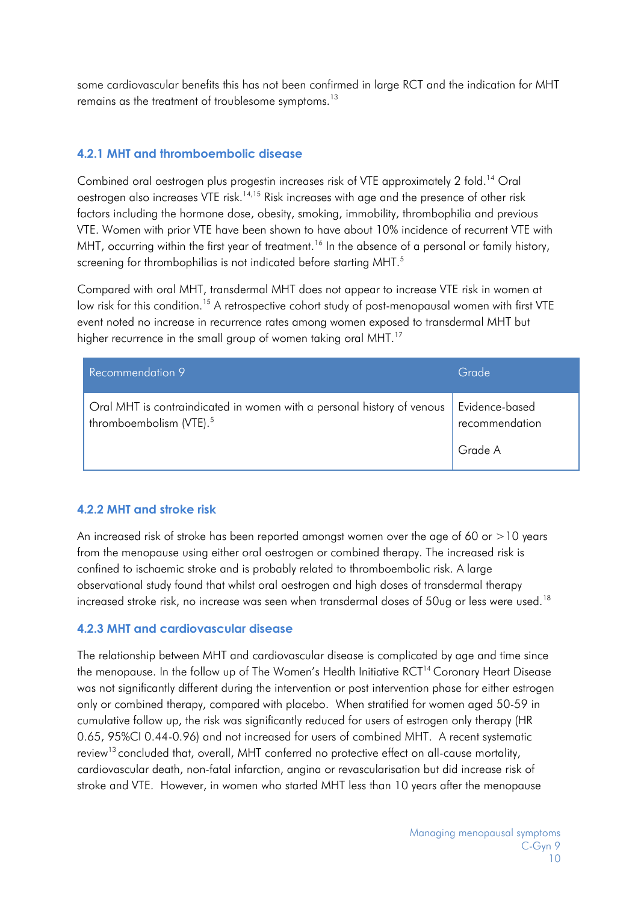some cardiovascular benefits this has not been confirmed in large RCT and the indication for MHT remains as the treatment of troublesome symptoms. 13

#### **4.2.1 MHT and thromboembolic disease**

Combined oral oestrogen plus progestin increases risk of VTE approximately 2 fold. <sup>14</sup> Oral oestrogen also increases VTE risk.<sup>14,15</sup> Risk increases with age and the presence of other risk factors including the hormone dose, obesity, smoking, immobility, thrombophilia and previous VTE. Women with prior VTE have been shown to have about 10% incidence of recurrent VTE with MHT, occurring within the first year of treatment.<sup>16</sup> In the absence of a personal or family history, screening for thrombophilias is not indicated before starting MHT.<sup>5</sup>

Compared with oral MHT, transdermal MHT does not appear to increase VTE risk in women at low risk for this condition.<sup>15</sup> A retrospective cohort study of post-menopausal women with first VTE event noted no increase in recurrence rates among women exposed to transdermal MHT but higher recurrence in the small group of women taking oral MHT.<sup>17</sup>

| Recommendation 9                                                                                              | Grade                            |
|---------------------------------------------------------------------------------------------------------------|----------------------------------|
| Oral MHT is contraindicated in women with a personal history of venous<br>thromboembolism (VTE). <sup>5</sup> | Evidence-based<br>recommendation |
|                                                                                                               | Grade A                          |

#### **4.2.2 MHT and stroke risk**

An increased risk of stroke has been reported amongst women over the age of 60 or >10 years from the menopause using either oral oestrogen or combined therapy. The increased risk is confined to ischaemic stroke and is probably related to thromboembolic risk. A large observational study found that whilst oral oestrogen and high doses of transdermal therapy increased stroke risk, no increase was seen when transdermal doses of 50ug or less were used.<sup>18</sup>

#### **4.2.3 MHT and cardiovascular disease**

The relationship between MHT and cardiovascular disease is complicated by age and time since the menopause. In the follow up of The Women's Health Initiative RCT<sup>14</sup> Coronary Heart Disease was not significantly different during the intervention or post intervention phase for either estrogen only or combined therapy, compared with placebo. When stratified for women aged 50-59 in cumulative follow up, the risk was significantly reduced for users of estrogen only therapy (HR 0.65, 95%CI 0.44-0.96) and not increased for users of combined MHT. A recent systematic review<sup>13</sup> concluded that, overall, MHT conferred no protective effect on all-cause mortality, cardiovascular death, non-fatal infarction, angina or revascularisation but did increase risk of stroke and VTE. However, in women who started MHT less than 10 years after the menopause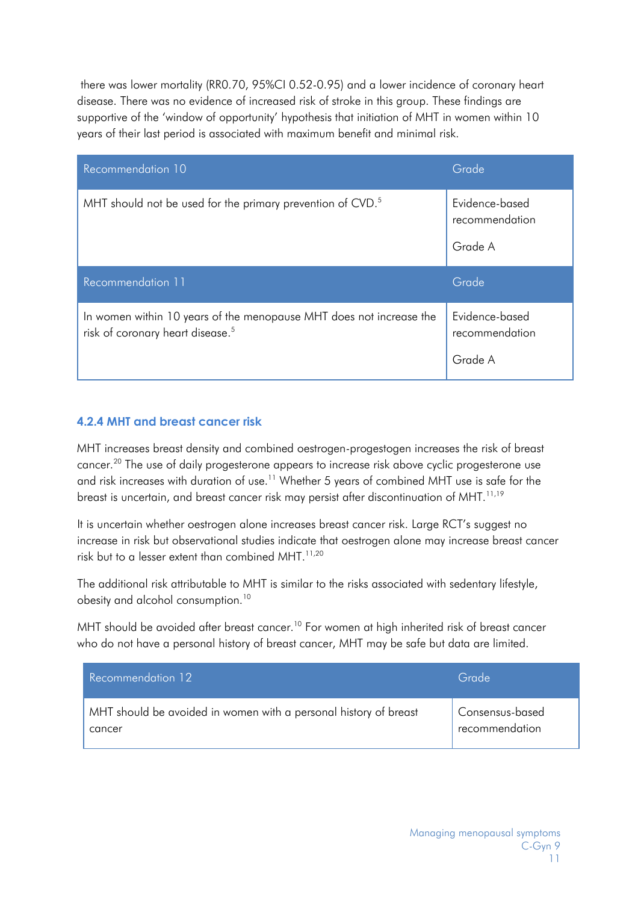there was lower mortality (RR0.70, 95%CI 0.52-0.95) and a lower incidence of coronary heart disease. There was no evidence of increased risk of stroke in this group. These findings are supportive of the 'window of opportunity' hypothesis that initiation of MHT in women within 10 years of their last period is associated with maximum benefit and minimal risk.

| Recommendation 10                                                                                                   | Grade                                       |
|---------------------------------------------------------------------------------------------------------------------|---------------------------------------------|
| MHT should not be used for the primary prevention of CVD. <sup>5</sup>                                              | Evidence-based<br>recommendation<br>Grade A |
| Recommendation 11                                                                                                   | Grade                                       |
| In women within 10 years of the menopause MHT does not increase the<br>risk of coronary heart disease. <sup>5</sup> | Evidence-based<br>recommendation<br>Grade A |

#### **4.2.4 MHT and breast cancer risk**

MHT increases breast density and combined oestrogen-progestogen increases the risk of breast cancer. <sup>20</sup> The use of daily progesterone appears to increase risk above cyclic progesterone use and risk increases with duration of use.<sup>11</sup> Whether 5 years of combined MHT use is safe for the breast is uncertain, and breast cancer risk may persist after discontinuation of MHT.  $^{11,19}$ 

It is uncertain whether oestrogen alone increases breast cancer risk. Large RCT's suggest no increase in risk but observational studies indicate that oestrogen alone may increase breast cancer risk but to a lesser extent than combined MHT. 11,20

The additional risk attributable to MHT is similar to the risks associated with sedentary lifestyle, obesity and alcohol consumption.<sup>10</sup>

MHT should be avoided after breast cancer.<sup>10</sup> For women at high inherited risk of breast cancer who do not have a personal history of breast cancer, MHT may be safe but data are limited.

| Recommendation 12                                                | Grade           |
|------------------------------------------------------------------|-----------------|
| MHT should be avoided in women with a personal history of breast | Consensus-based |
| cancer                                                           | recommendation  |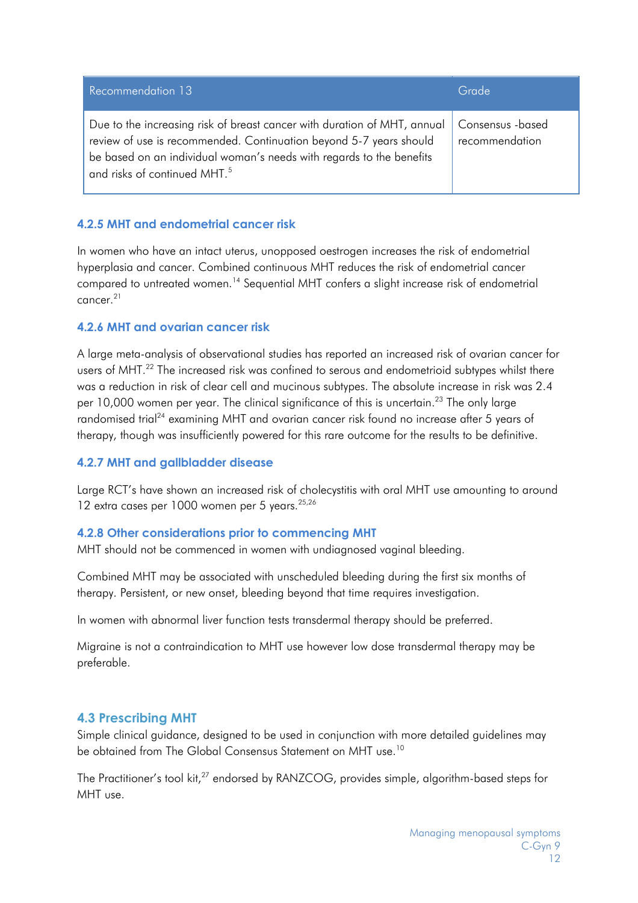| Recommendation 13                                                                                                                                                                                                                                                  | Grade                               |
|--------------------------------------------------------------------------------------------------------------------------------------------------------------------------------------------------------------------------------------------------------------------|-------------------------------------|
| Due to the increasing risk of breast cancer with duration of MHT, annual<br>review of use is recommended. Continuation beyond 5-7 years should<br>be based on an individual woman's needs with regards to the benefits<br>and risks of continued MHT. <sup>5</sup> | Consensus - based<br>recommendation |

#### **4.2.5 MHT and endometrial cancer risk**

In women who have an intact uterus, unopposed oestrogen increases the risk of endometrial hyperplasia and cancer. Combined continuous MHT reduces the risk of endometrial cancer compared to untreated women. <sup>14</sup> Sequential MHT confers a slight increase risk of endometrial cancer.<sup>21</sup>

#### **4.2.6 MHT and ovarian cancer risk**

A large meta-analysis of observational studies has reported an increased risk of ovarian cancer for users of MHT.<sup>22</sup> The increased risk was confined to serous and endometrioid subtypes whilst there was a reduction in risk of clear cell and mucinous subtypes. The absolute increase in risk was 2.4 per 10,000 women per year. The clinical significance of this is uncertain.<sup>23</sup> The only large randomised trial<sup>24</sup> examining MHT and ovarian cancer risk found no increase after 5 years of therapy, though was insufficiently powered for this rare outcome for the results to be definitive.

#### **4.2.7 MHT and gallbladder disease**

Large RCT's have shown an increased risk of cholecystitis with oral MHT use amounting to around 12 extra cases per 1000 women per 5 years.<sup>25,26</sup>

#### **4.2.8 Other considerations prior to commencing MHT**

MHT should not be commenced in women with undiagnosed vaginal bleeding.

Combined MHT may be associated with unscheduled bleeding during the first six months of therapy. Persistent, or new onset, bleeding beyond that time requires investigation.

In women with abnormal liver function tests transdermal therapy should be preferred.

Migraine is not a contraindication to MHT use however low dose transdermal therapy may be preferable.

#### <span id="page-11-0"></span>**4.3 Prescribing MHT**

Simple clinical guidance, designed to be used in conjunction with more detailed guidelines may be obtained from The Global Consensus Statement on MHT use.<sup>10</sup>

The Practitioner's tool kit,<sup>27</sup> endorsed by RANZCOG, provides simple, algorithm-based steps for MHT use.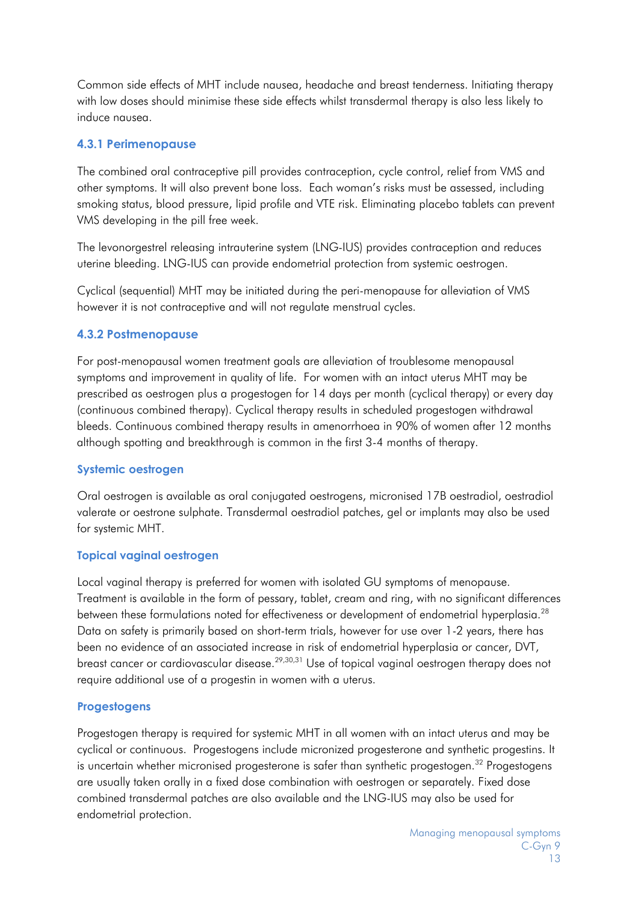Common side effects of MHT include nausea, headache and breast tenderness. Initiating therapy with low doses should minimise these side effects whilst transdermal therapy is also less likely to induce nausea.

#### **4.3.1 Perimenopause**

The combined oral contraceptive pill provides contraception, cycle control, relief from VMS and other symptoms. It will also prevent bone loss. Each woman's risks must be assessed, including smoking status, blood pressure, lipid profile and VTE risk. Eliminating placebo tablets can prevent VMS developing in the pill free week.

The levonorgestrel releasing intrauterine system (LNG-IUS) provides contraception and reduces uterine bleeding. LNG-IUS can provide endometrial protection from systemic oestrogen.

Cyclical (sequential) MHT may be initiated during the peri-menopause for alleviation of VMS however it is not contraceptive and will not regulate menstrual cycles.

#### **4.3.2 Postmenopause**

For post-menopausal women treatment goals are alleviation of troublesome menopausal symptoms and improvement in quality of life. For women with an intact uterus MHT may be prescribed as oestrogen plus a progestogen for 14 days per month (cyclical therapy) or every day (continuous combined therapy). Cyclical therapy results in scheduled progestogen withdrawal bleeds. Continuous combined therapy results in amenorrhoea in 90% of women after 12 months although spotting and breakthrough is common in the first 3-4 months of therapy.

#### **Systemic oestrogen**

Oral oestrogen is available as oral conjugated oestrogens, micronised 17B oestradiol, oestradiol valerate or oestrone sulphate. Transdermal oestradiol patches, gel or implants may also be used for systemic MHT.

#### **Topical vaginal oestrogen**

Local vaginal therapy is preferred for women with isolated GU symptoms of menopause. Treatment is available in the form of pessary, tablet, cream and ring, with no significant differences between these formulations noted for effectiveness or development of endometrial hyperplasia.<sup>28</sup> Data on safety is primarily based on short-term trials, however for use over 1-2 years, there has been no evidence of an associated increase in risk of endometrial hyperplasia or cancer, DVT, breast cancer or cardiovascular disease.<sup>29,30,31</sup> Use of topical vaginal oestrogen therapy does not require additional use of a progestin in women with a uterus.

#### **Progestogens**

Progestogen therapy is required for systemic MHT in all women with an intact uterus and may be cyclical or continuous. Progestogens include micronized progesterone and synthetic progestins. It is uncertain whether micronised progesterone is safer than synthetic progestogen.<sup>32</sup> Progestogens are usually taken orally in a fixed dose combination with oestrogen or separately. Fixed dose combined transdermal patches are also available and the LNG-IUS may also be used for endometrial protection.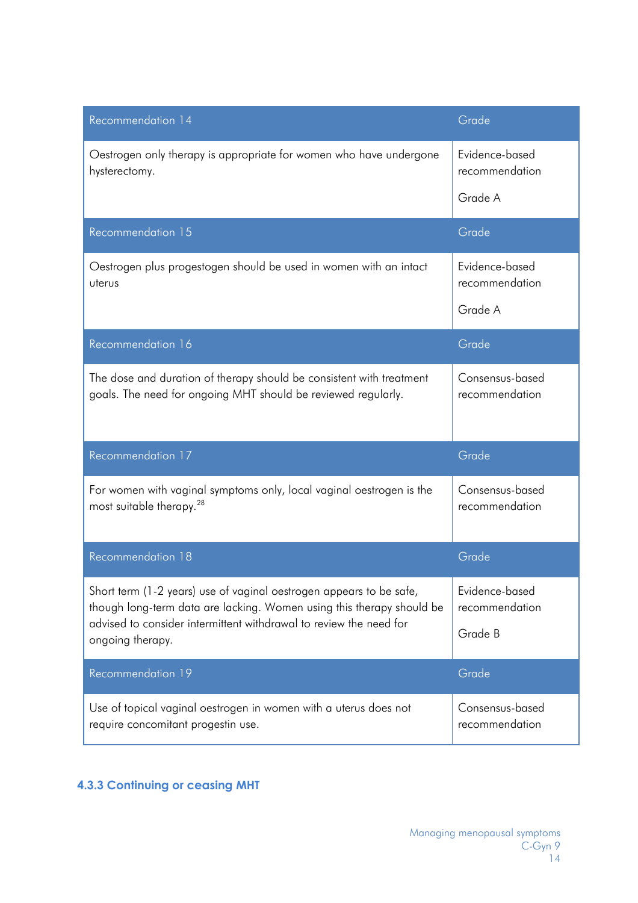| Recommendation 14                                                                                                                            | Grade                             |
|----------------------------------------------------------------------------------------------------------------------------------------------|-----------------------------------|
| Oestrogen only therapy is appropriate for women who have undergone<br>hysterectomy.                                                          | Evidence-based<br>recommendation  |
|                                                                                                                                              | Grade A                           |
| Recommendation 15                                                                                                                            | Grade                             |
| Oestrogen plus progestogen should be used in women with an intact<br>uterus                                                                  | Evidence-based<br>recommendation  |
|                                                                                                                                              | Grade A                           |
| Recommendation 16                                                                                                                            | Grade                             |
| The dose and duration of therapy should be consistent with treatment<br>goals. The need for ongoing MHT should be reviewed regularly.        | Consensus-based<br>recommendation |
| Recommendation 17                                                                                                                            | Grade                             |
| For women with vaginal symptoms only, local vaginal oestrogen is the<br>most suitable therapy. <sup>28</sup>                                 | Consensus-based<br>recommendation |
| Recommendation 18                                                                                                                            | Grade                             |
| Short term (1-2 years) use of vaginal oestrogen appears to be safe,<br>though long-term data are lacking. Women using this therapy should be | Evidence-based<br>recommendation  |
| advised to consider intermittent withdrawal to review the need for<br>ongoing therapy.                                                       | Grade B                           |
| Recommendation 19                                                                                                                            | Grade                             |
| Use of topical vaginal oestrogen in women with a uterus does not<br>require concomitant progestin use.                                       | Consensus-based<br>recommendation |

### **4.3.3 Continuing or ceasing MHT**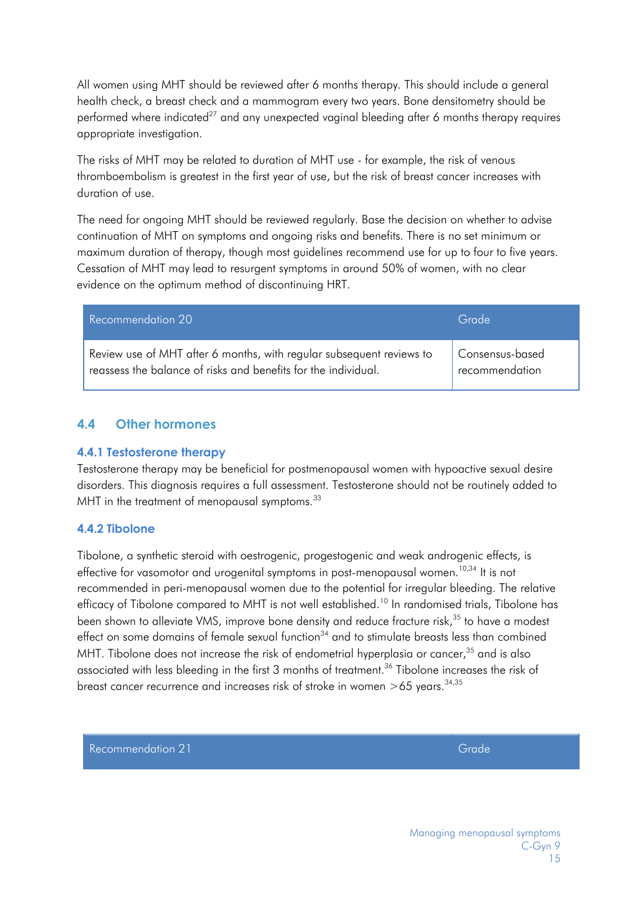All women using MHT should be reviewed after 6 months therapy. This should include a general health check, a breast check and a mammogram every two years. Bone densitometry should be performed where indicated<sup>27</sup> and any unexpected vaginal bleeding after 6 months therapy requires appropriate investigation.

The risks of MHT may be related to duration of MHT use - for example, the risk of venous thromboembolism is greatest in the first year of use, but the risk of breast cancer increases with duration of use.

The need for ongoing MHT should be reviewed regularly. Base the decision on whether to advise continuation of MHT on symptoms and ongoing risks and benefits. There is no set minimum or maximum duration of therapy, though most guidelines recommend use for up to four to five years. Cessation of MHT may lead to resurgent symptoms in around 50% of women, with no clear evidence on the optimum method of discontinuing HRT.

| Recommendation 20                                                    | Grade           |
|----------------------------------------------------------------------|-----------------|
| Review use of MHT after 6 months, with regular subsequent reviews to | Consensus-based |
| reassess the balance of risks and benefits for the individual.       | recommendation  |

#### <span id="page-14-0"></span>**4.4 Other hormones**

#### **4.4.1 Testosterone therapy**

Testosterone therapy may be beneficial for postmenopausal women with hypoactive sexual desire disorders. This diagnosis requires a full assessment. Testosterone should not be routinely added to MHT in the treatment of menopausal symptoms.<sup>33</sup>

#### **4.4.2 Tibolone**

Tibolone, a synthetic steroid with oestrogenic, progestogenic and weak androgenic effects, is effective for vasomotor and urogenital symptoms in post-menopausal women.<sup>10,34</sup> It is not recommended in peri-menopausal women due to the potential for irregular bleeding. The relative efficacy of Tibolone compared to MHT is not well established.<sup>10</sup> In randomised trials, Tibolone has been shown to alleviate VMS, improve bone density and reduce fracture risk,<sup>35</sup> to have a modest effect on some domains of female sexual function $34$  and to stimulate breasts less than combined MHT. Tibolone does not increase the risk of endometrial hyperplasia or cancer, $35$  and is also associated with less bleeding in the first 3 months of treatment.<sup>36</sup> Tibolone increases the risk of breast cancer recurrence and increases risk of stroke in women  $>65$  years.<sup>34,35</sup>

Recommendation 21 Grade Recommendation 21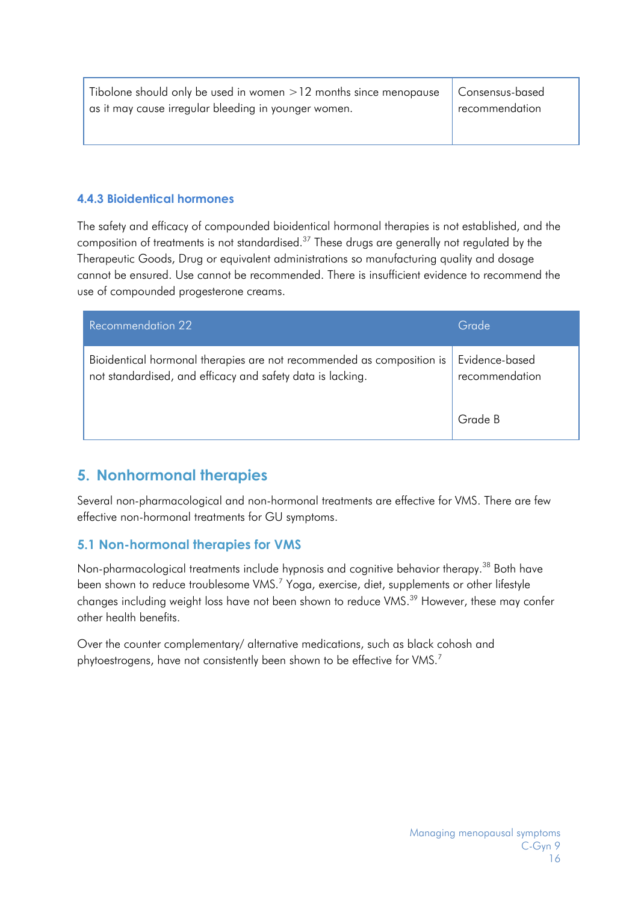| Tibolone should only be used in women $>12$ months since menopause $\vert$ Consensus-based |                |
|--------------------------------------------------------------------------------------------|----------------|
| as it may cause irregular bleeding in younger women.                                       | recommendation |

#### **4.4.3 Bioidentical hormones**

The safety and efficacy of compounded bioidentical hormonal therapies is not established, and the composition of treatments is not standardised. $^{37}$  These drugs are generally not regulated by the Therapeutic Goods, Drug or equivalent administrations so manufacturing quality and dosage cannot be ensured. Use cannot be recommended. There is insufficient evidence to recommend the use of compounded progesterone creams.

| Recommendation 22                                                                                                                   | Grade                            |
|-------------------------------------------------------------------------------------------------------------------------------------|----------------------------------|
| Bioidentical hormonal therapies are not recommended as composition is<br>not standardised, and efficacy and safety data is lacking. | Evidence-based<br>recommendation |
|                                                                                                                                     | Grade B                          |

### <span id="page-15-0"></span>**5. Nonhormonal therapies**

Several non-pharmacological and non-hormonal treatments are effective for VMS. There are few effective non-hormonal treatments for GU symptoms.

#### <span id="page-15-1"></span>**5.1 Non-hormonal therapies for VMS**

Non-pharmacological treatments include hypnosis and cognitive behavior therapy.<sup>38</sup> Both have been shown to reduce troublesome VMS.<sup>7</sup> Yoga, exercise, diet, supplements or other lifestyle changes including weight loss have not been shown to reduce VMS.<sup>39</sup> However, these may confer other health benefits.

Over the counter complementary/ alternative medications, such as black cohosh and phytoestrogens, have not consistently been shown to be effective for VMS.<sup>7</sup>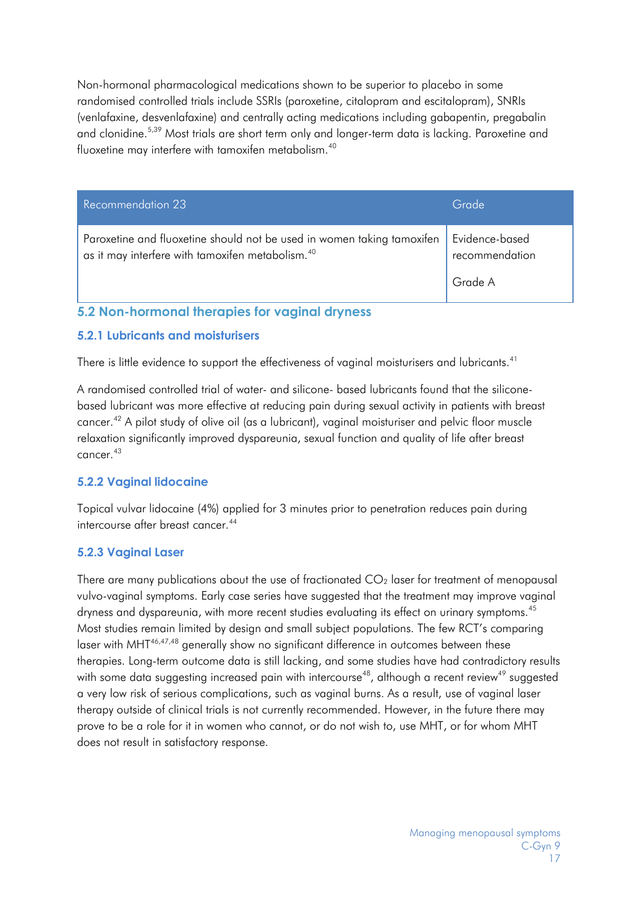Non-hormonal pharmacological medications shown to be superior to placebo in some randomised controlled trials include SSRIs (paroxetine, citalopram and escitalopram), SNRIs (venlafaxine, desvenlafaxine) and centrally acting medications including gabapentin, pregabalin and clonidine.<sup>5,39</sup> Most trials are short term only and longer-term data is lacking. Paroxetine and fluoxetine may interfere with tamoxifen metabolism.40

| Recommendation 23                                                                                                                      | Grade                            |
|----------------------------------------------------------------------------------------------------------------------------------------|----------------------------------|
| Paroxetine and fluoxetine should not be used in women taking tamoxifen<br>as it may interfere with tamoxifen metabolism. <sup>40</sup> | Evidence-based<br>recommendation |
|                                                                                                                                        | Grade A                          |

### <span id="page-16-0"></span>**5.2 Non-hormonal therapies for vaginal dryness**

#### **5.2.1 Lubricants and moisturisers**

There is little evidence to support the effectiveness of vaginal moisturisers and lubricants. $^{\rm 41}$ 

A randomised controlled trial of water- and silicone- based lubricants found that the siliconebased lubricant was more effective at reducing pain during sexual activity in patients with breast cancer.42 A pilot study of olive oil (as a lubricant), vaginal moisturiser and pelvic floor muscle relaxation significantly improved dyspareunia, sexual function and quality of life after breast cancer.43

#### **5.2.2 Vaginal lidocaine**

Topical vulvar lidocaine (4%) applied for 3 minutes prior to penetration reduces pain during intercourse after breast cancer.<sup>44</sup>

#### **5.2.3 Vaginal Laser**

There are many publications about the use of fractionated  $CO<sub>2</sub>$  laser for treatment of menopausal vulvo-vaginal symptoms. Early case series have suggested that the treatment may improve vaginal dryness and dyspareunia, with more recent studies evaluating its effect on urinary symptoms. 45 Most studies remain limited by design and small subject populations. The few RCT's comparing laser with MHT<sup>46,47,48</sup> generally show no significant difference in outcomes between these therapies. Long-term outcome data is still lacking, and some studies have had contradictory results with some data suggesting increased pain with intercourse $^{48}$ , although a recent review $^{49}$  suggested a very low risk of serious complications, such as vaginal burns. As a result, use of vaginal laser therapy outside of clinical trials is not currently recommended. However, in the future there may prove to be a role for it in women who cannot, or do not wish to, use MHT, or for whom MHT does not result in satisfactory response.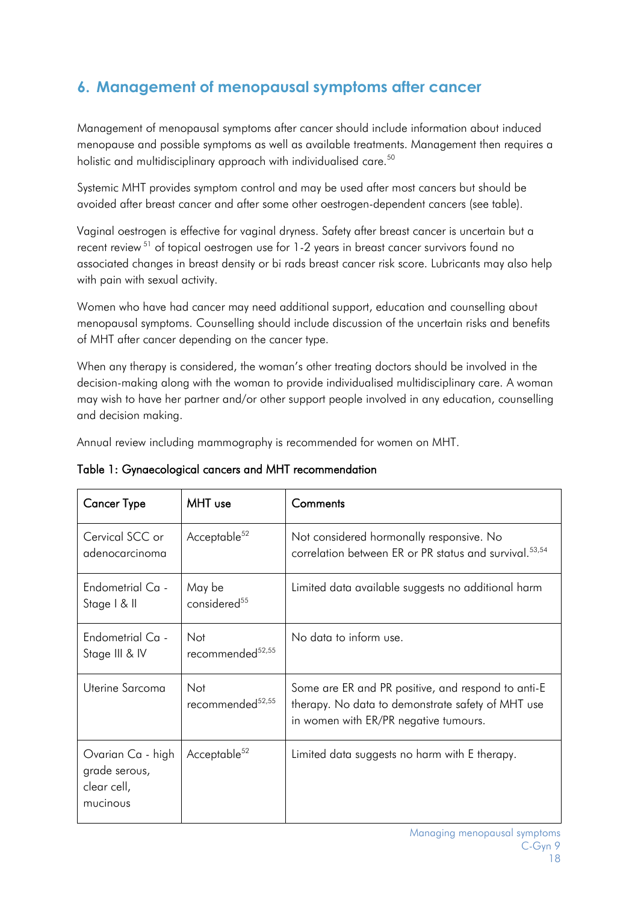# <span id="page-17-0"></span>**6. Management of menopausal symptoms after cancer**

Management of menopausal symptoms after cancer should include information about induced menopause and possible symptoms as well as available treatments. Management then requires a holistic and multidisciplinary approach with individualised care. 50

Systemic MHT provides symptom control and may be used after most cancers but should be avoided after breast cancer and after some other oestrogen-dependent cancers (see table).

Vaginal oestrogen is effective for vaginal dryness. Safety after breast cancer is uncertain but a recent review <sup>51</sup> of topical oestrogen use for 1-2 years in breast cancer survivors found no associated changes in breast density or bi rads breast cancer risk score. Lubricants may also help with pain with sexual activity.

Women who have had cancer may need additional support, education and counselling about menopausal symptoms. Counselling should include discussion of the uncertain risks and benefits of MHT after cancer depending on the cancer type.

When any therapy is considered, the woman's other treating doctors should be involved in the decision-making along with the woman to provide individualised multidisciplinary care. A woman may wish to have her partner and/or other support people involved in any education, counselling and decision making.

Annual review including mammography is recommended for women on MHT.

| <b>Cancer Type</b>                                            | MHT use                             | Comments                                                                                                                                         |
|---------------------------------------------------------------|-------------------------------------|--------------------------------------------------------------------------------------------------------------------------------------------------|
| Cervical SCC or<br>adenocarcinoma                             | Acceptable <sup>52</sup>            | Not considered hormonally responsive. No<br>correlation between ER or PR status and survival. <sup>53,54</sup>                                   |
| Endometrial Ca -<br>Stage   & II                              | May be<br>considered <sup>55</sup>  | Limited data available suggests no additional harm                                                                                               |
| Endometrial Ca -<br>Stage III & IV                            | Not<br>recommended <sup>52,55</sup> | No data to inform use.                                                                                                                           |
| Uterine Sarcoma                                               | Not<br>recommended <sup>52,55</sup> | Some are ER and PR positive, and respond to anti-E<br>therapy. No data to demonstrate safety of MHT use<br>in women with ER/PR negative tumours. |
| Ovarian Ca - high<br>grade serous,<br>clear cell,<br>mucinous | Acceptable <sup>52</sup>            | Limited data suggests no harm with E therapy.                                                                                                    |

Table 1: Gynaecological cancers and MHT recommendation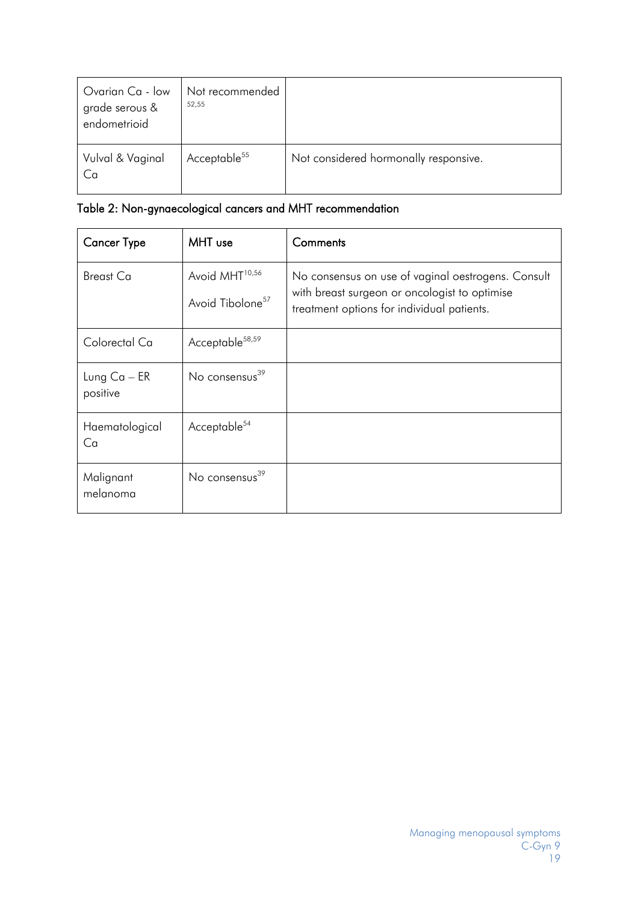| Ovarian Ca - low<br>grade serous &<br>endometrioid | Not recommended<br>52,55 |                                       |
|----------------------------------------------------|--------------------------|---------------------------------------|
| Vulval & Vaginal<br>Ca                             | Acceptable <sup>55</sup> | Not considered hormonally responsive. |

| Table 2: Non-gynaecological cancers and MHT recommendation |  |  |
|------------------------------------------------------------|--|--|
|------------------------------------------------------------|--|--|

| <b>Cancer Type</b>         | MHT use                                                    | Comments                                                                                                                                          |
|----------------------------|------------------------------------------------------------|---------------------------------------------------------------------------------------------------------------------------------------------------|
| <b>Breast Ca</b>           | Avoid MHT <sup>10,56</sup><br>Avoid Tibolone <sup>57</sup> | No consensus on use of vaginal oestrogens. Consult<br>with breast surgeon or oncologist to optimise<br>treatment options for individual patients. |
| Colorectal Ca              | Acceptable <sup>58,59</sup>                                |                                                                                                                                                   |
| Lung $Ca - ER$<br>positive | No consensus <sup>39</sup>                                 |                                                                                                                                                   |
| Haematological<br>Ca       | Acceptable <sup>54</sup>                                   |                                                                                                                                                   |
| Malignant<br>melanoma      | No consensus <sup>39</sup>                                 |                                                                                                                                                   |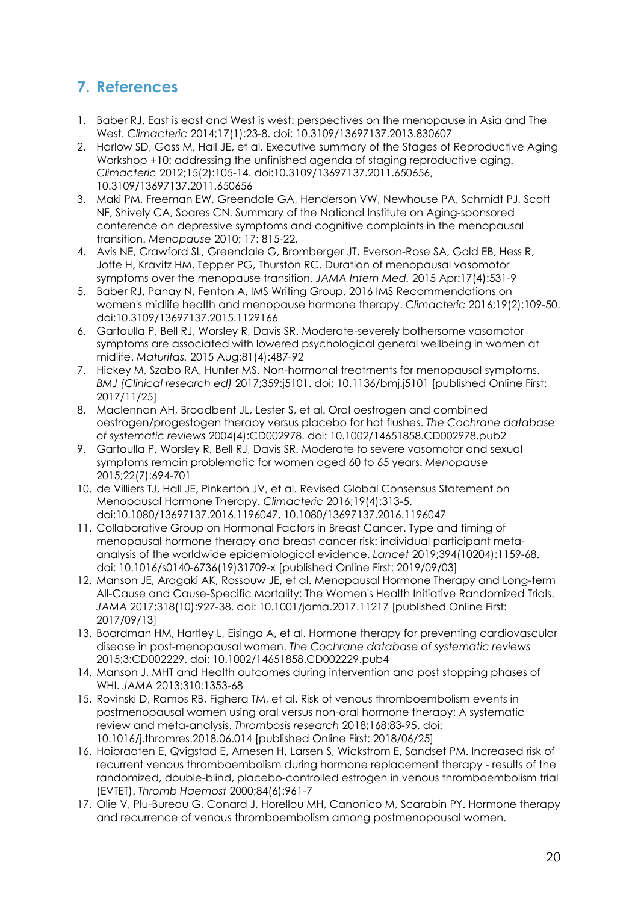# <span id="page-19-0"></span>**7. References**

- 1. Baber RJ. East is east and West is west: perspectives on the menopause in Asia and The West. *Climacteric* 2014;17(1):23-8. doi: 10.3109/13697137.2013.830607
- 2. Harlow SD, Gass M, Hall JE, et al. Executive summary of the Stages of Reproductive Aging Workshop +10: addressing the unfinished agenda of staging reproductive aging. *Climacteric* 2012;15(2):105-14. doi:10.3109/13697137.2011.650656, 10.3109/13697137.2011.650656
- 3. Maki PM, Freeman EW, Greendale GA, Henderson VW, Newhouse PA, Schmidt PJ, Scott NF, Shively CA, Soares CN. Summary of the National Institute on Aging-sponsored conference on depressive symptoms and cognitive complaints in the menopausal transition. *Menopause* 2010; 17: 815-22.
- 4. Avis NE, Crawford SL, Greendale G, Bromberger JT, Everson-Rose SA, Gold EB, Hess R, Joffe H, Kravitz HM, Tepper PG, Thurston RC. Duration of menopausal vasomotor symptoms over the menopause transition. *JAMA Intern Med.* 2015 Apr:17(4):531-9
- 5. Baber RJ, Panay N, Fenton A, IMS Writing Group. 2016 IMS Recommendations on women's midlife health and menopause hormone therapy. *Climacteric* 2016;19(2):109-50. doi:10.3109/13697137.2015.1129166
- 6. Gartoulla P, Bell RJ, Worsley R, Davis SR. Moderate-severely bothersome vasomotor symptoms are associated with lowered psychological general wellbeing in women at midlife. *Maturitas.* 2015 Aug;81(4):487-92
- 7. Hickey M, Szabo RA, Hunter MS. Non-hormonal treatments for menopausal symptoms. *BMJ (Clinical research ed)* 2017;359:j5101. doi: 10.1136/bmj.j5101 [published Online First: 2017/11/25]
- 8. Maclennan AH, Broadbent JL, Lester S, et al. Oral oestrogen and combined oestrogen/progestogen therapy versus placebo for hot flushes. *The Cochrane database of systematic reviews* 2004(4):CD002978. doi: 10.1002/14651858.CD002978.pub2
- 9. Gartoulla P, Worsley R, Bell RJ, Davis SR. Moderate to severe vasomotor and sexual symptoms remain problematic for women aged 60 to 65 years. *Menopause* 2015;22(7):694-701
- 10. de Villiers TJ, Hall JE, Pinkerton JV, et al. Revised Global Consensus Statement on Menopausal Hormone Therapy. *Climacteric* 2016;19(4):313-5. doi:10.1080/13697137.2016.1196047, 10.1080/13697137.2016.1196047
- 11. Collaborative Group on Hormonal Factors in Breast Cancer. Type and timing of menopausal hormone therapy and breast cancer risk: individual participant metaanalysis of the worldwide epidemiological evidence. *Lancet* 2019;394(10204):1159-68. doi: 10.1016/s0140-6736(19)31709-x [published Online First: 2019/09/03]
- 12. Manson JE, Aragaki AK, Rossouw JE, et al. Menopausal Hormone Therapy and Long-term All-Cause and Cause-Specific Mortality: The Women's Health Initiative Randomized Trials. *JAMA* 2017;318(10):927-38. doi: 10.1001/jama.2017.11217 [published Online First: 2017/09/13]
- 13. Boardman HM, Hartley L, Eisinga A, et al. Hormone therapy for preventing cardiovascular disease in post-menopausal women. *The Cochrane database of systematic reviews* 2015;3:CD002229. doi: 10.1002/14651858.CD002229.pub4
- 14. Manson J. MHT and Health outcomes during intervention and post stopping phases of WHI. *JAMA* 2013;310:1353-68
- 15. Rovinski D, Ramos RB, Fighera TM, et al. Risk of venous thromboembolism events in postmenopausal women using oral versus non-oral hormone therapy: A systematic review and meta-analysis. *Thrombosis research* 2018;168:83-95. doi: 10.1016/j.thromres.2018.06.014 [published Online First: 2018/06/25]
- 16. Hoibraaten E, Qvigstad E, Arnesen H, Larsen S, Wickstrom E, Sandset PM. Increased risk of recurrent venous thromboembolism during hormone replacement therapy - results of the randomized, double-blind, placebo-controlled estrogen in venous thromboembolism trial (EVTET). *Thromb Haemost* 2000;84(6):961-7
- 17. Olie V, Plu-Bureau G, Conard J, Horellou MH, Canonico M, Scarabin PY. Hormone therapy and recurrence of venous thromboembolism among postmenopausal women.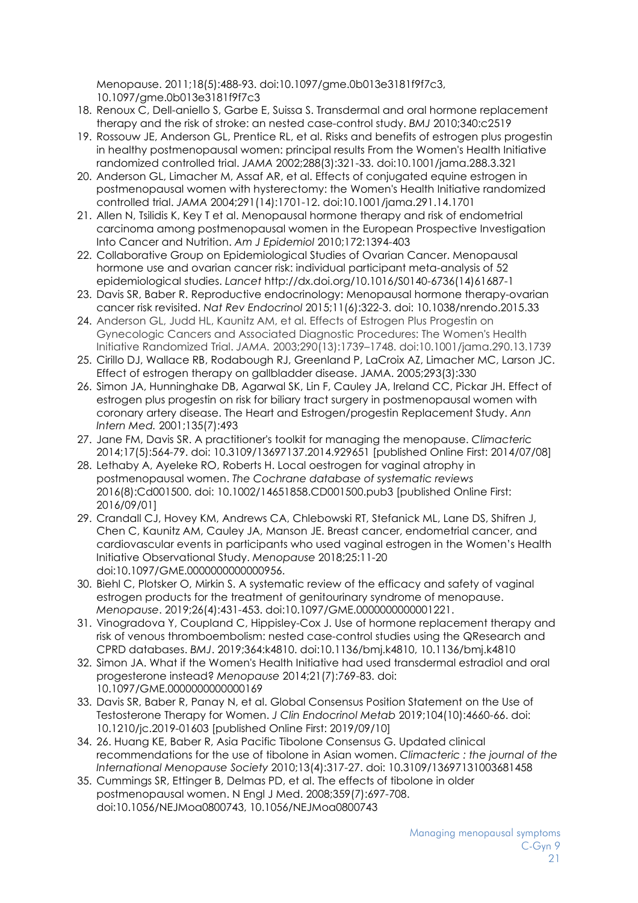Menopause. 2011;18(5):488-93. doi:10.1097/gme.0b013e3181f9f7c3, 10.1097/gme.0b013e3181f9f7c3

- 18. Renoux C, Dell-aniello S, Garbe E, Suissa S. Transdermal and oral hormone replacement therapy and the risk of stroke: an nested case-control study. *BMJ* 2010;340:c2519
- 19. Rossouw JE, Anderson GL, Prentice RL, et al. Risks and benefits of estrogen plus progestin in healthy postmenopausal women: principal results From the Women's Health Initiative randomized controlled trial. *JAMA* 2002;288(3):321-33. doi:10.1001/jama.288.3.321
- 20. Anderson GL, Limacher M, Assaf AR, et al. Effects of conjugated equine estrogen in postmenopausal women with hysterectomy: the Women's Health Initiative randomized controlled trial. *JAMA* 2004;291(14):1701-12. doi:10.1001/jama.291.14.1701
- 21. Allen N, Tsilidis K, Key T et al. Menopausal hormone therapy and risk of endometrial carcinoma among postmenopausal women in the European Prospective Investigation Into Cancer and Nutrition. *Am J Epidemiol* 2010;172:1394-403
- 22. Collaborative Group on Epidemiological Studies of Ovarian Cancer. Menopausal hormone use and ovarian cancer risk: individual participant meta-analysis of 52 epidemiological studies. *Lancet* http://dx.doi.org/10.1016/S0140-6736(14)61687-1
- 23. Davis SR, Baber R. Reproductive endocrinology: Menopausal hormone therapy-ovarian cancer risk revisited. *Nat Rev Endocrinol* 2015;11(6):322-3. doi: 10.1038/nrendo.2015.33
- 24. Anderson GL, Judd HL, Kaunitz AM, et al. Effects of Estrogen Plus Progestin on Gynecologic Cancers and Associated Diagnostic Procedures: The Women's Health Initiative Randomized Trial. *JAMA.* 2003;290(13):1739–1748. doi:10.1001/jama.290.13.1739
- 25. Cirillo DJ, Wallace RB, Rodabough RJ, Greenland P, LaCroix AZ, Limacher MC, Larson JC. Effect of estrogen therapy on gallbladder disease. JAMA. 2005;293(3):330
- 26. Simon JA, Hunninghake DB, Agarwal SK, Lin F, Cauley JA, Ireland CC, Pickar JH. Effect of estrogen plus progestin on risk for biliary tract surgery in postmenopausal women with coronary artery disease. The Heart and Estrogen/progestin Replacement Study. *Ann Intern Med.* 2001;135(7):493
- 27. Jane FM, Davis SR. A practitioner's toolkit for managing the menopause. *Climacteric* 2014;17(5):564-79. doi: 10.3109/13697137.2014.929651 [published Online First: 2014/07/08]
- 28. Lethaby A, Ayeleke RO, Roberts H. Local oestrogen for vaginal atrophy in postmenopausal women. *The Cochrane database of systematic reviews* 2016(8):Cd001500. doi: 10.1002/14651858.CD001500.pub3 [published Online First: 2016/09/01]
- 29. Crandall CJ, Hovey KM, Andrews CA, Chlebowski RT, Stefanick ML, Lane DS, Shifren J, Chen C, Kaunitz AM, Cauley JA, Manson JE. Breast cancer, endometrial cancer, and cardiovascular events in participants who used vaginal estrogen in the Women's Health Initiative Observational Study. *Menopause* 2018;25:11-20 doi:10.1097/GME.0000000000000956.
- 30. Biehl C, Plotsker O, Mirkin S. A systematic review of the efficacy and safety of vaginal estrogen products for the treatment of genitourinary syndrome of menopause. *Menopause*. 2019;26(4):431-453. doi:10.1097/GME.0000000000001221.
- 31. Vinogradova Y, Coupland C, Hippisley-Cox J. Use of hormone replacement therapy and risk of venous thromboembolism: nested case-control studies using the QResearch and CPRD databases. *BMJ*. 2019;364:k4810. doi:10.1136/bmj.k4810, 10.1136/bmj.k4810
- 32. Simon JA. What if the Women's Health Initiative had used transdermal estradiol and oral progesterone instead? *Menopause* 2014;21(7):769-83. doi: 10.1097/GME.0000000000000169
- 33. Davis SR, Baber R, Panay N, et al. Global Consensus Position Statement on the Use of Testosterone Therapy for Women. *J Clin Endocrinol Metab* 2019;104(10):4660-66. doi: 10.1210/jc.2019-01603 [published Online First: 2019/09/10]
- 34. 26. Huang KE, Baber R, Asia Pacific Tibolone Consensus G. Updated clinical recommendations for the use of tibolone in Asian women. *Climacteric : the journal of the International Menopause Society* 2010;13(4):317-27. doi: 10.3109/13697131003681458
- 35. Cummings SR, Ettinger B, Delmas PD, et al. The effects of tibolone in older postmenopausal women. N Engl J Med. 2008;359(7):697-708. doi:10.1056/NEJMoa0800743, 10.1056/NEJMoa0800743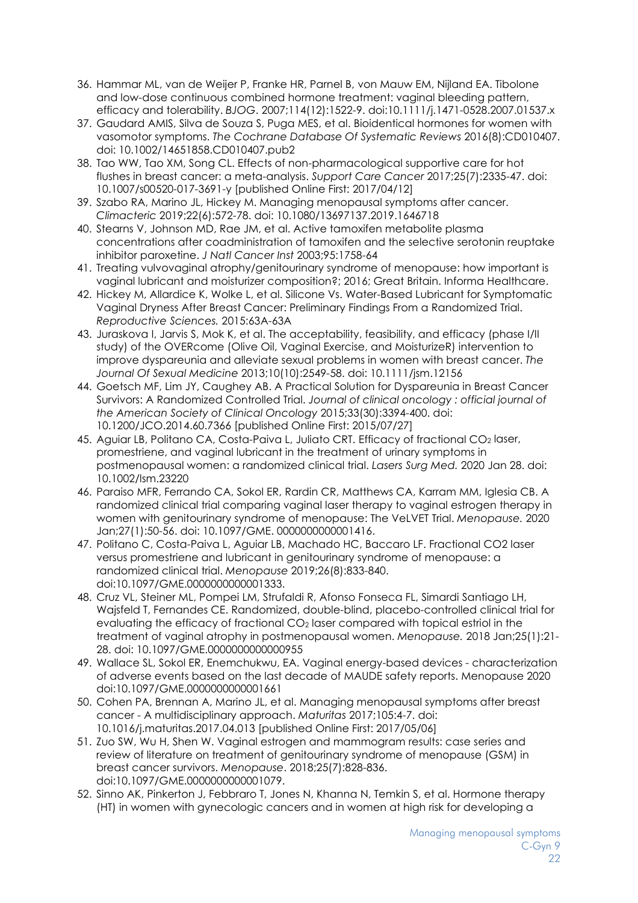- 36. Hammar ML, van de Weijer P, Franke HR, Parnel B, von Mauw EM, Nijland EA. Tibolone and low-dose continuous combined hormone treatment: vaginal bleeding pattern, efficacy and tolerability. *BJOG*. 2007;114(12):1522-9. doi:10.1111/j.1471-0528.2007.01537.x
- 37. Gaudard AMIS, Silva de Souza S, Puga MES, et al. Bioidentical hormones for women with vasomotor symptoms. *The Cochrane Database Of Systematic Reviews* 2016(8):CD010407. doi: 10.1002/14651858.CD010407.pub2
- 38. Tao WW, Tao XM, Song CL. Effects of non-pharmacological supportive care for hot flushes in breast cancer: a meta-analysis. *Support Care Cancer* 2017;25(7):2335-47. doi: 10.1007/s00520-017-3691-y [published Online First: 2017/04/12]
- 39. Szabo RA, Marino JL, Hickey M. Managing menopausal symptoms after cancer. *Climacteric* 2019;22(6):572-78. doi: 10.1080/13697137.2019.1646718
- 40. Stearns V, Johnson MD, Rae JM, et al. Active tamoxifen metabolite plasma concentrations after coadministration of tamoxifen and the selective serotonin reuptake inhibitor paroxetine. *J Natl Cancer Inst* 2003;95:1758-64
- 41. Treating vulvovaginal atrophy/genitourinary syndrome of menopause: how important is vaginal lubricant and moisturizer composition?; 2016; Great Britain. Informa Healthcare.
- 42. Hickey M, Allardice K, Wolke L, et al. Silicone Vs. Water-Based Lubricant for Symptomatic Vaginal Dryness After Breast Cancer: Preliminary Findings From a Randomized Trial. *Reproductive Sciences.* 2015:63A-63A
- 43. Juraskova I, Jarvis S, Mok K, et al. The acceptability, feasibility, and efficacy (phase I/II study) of the OVERcome (Olive Oil, Vaginal Exercise, and MoisturizeR) intervention to improve dyspareunia and alleviate sexual problems in women with breast cancer. *The Journal Of Sexual Medicine* 2013;10(10):2549-58. doi: 10.1111/jsm.12156
- 44. Goetsch MF, Lim JY, Caughey AB. A Practical Solution for Dyspareunia in Breast Cancer Survivors: A Randomized Controlled Trial. *Journal of clinical oncology : official journal of the American Society of Clinical Oncology* 2015;33(30):3394-400. doi: 10.1200/JCO.2014.60.7366 [published Online First: 2015/07/27]
- 45. Aguiar LB, Politano CA, Costa-Paiva L, Juliato CRT. Efficacy of fractional CO2 laser, promestriene, and vaginal lubricant in the treatment of urinary symptoms in postmenopausal women: a randomized clinical trial. *Lasers Surg Med.* 2020 Jan 28. doi: 10.1002/lsm.23220
- 46. Paraiso MFR, Ferrando CA, Sokol ER, Rardin CR, Matthews CA, Karram MM, Iglesia CB. A randomized clinical trial comparing vaginal laser therapy to vaginal estrogen therapy in women with genitourinary syndrome of menopause: The VeLVET Trial. *Menopause.* 2020 Jan;27(1):50-56. doi: 10.1097/GME. 0000000000001416.
- 47. Politano C, Costa-Paiva L, Aguiar LB, Machado HC, Baccaro LF. Fractional CO2 laser versus promestriene and lubricant in genitourinary syndrome of menopause: a randomized clinical trial. *Menopause* 2019;26(8):833-840. doi:10.1097/GME.0000000000001333.
- 48. Cruz VL, Steiner ML, Pompei LM, Strufaldi R, Afonso Fonseca FL, Simardi Santiago LH, Wajsfeld T, Fernandes CE. Randomized, double-blind, placebo-controlled clinical trial for evaluating the efficacy of fractional CO<sub>2</sub> laser compared with topical estriol in the treatment of vaginal atrophy in postmenopausal women. *Menopause.* 2018 Jan;25(1):21- 28. doi: 10.1097/GME.0000000000000955
- 49. Wallace SL, Sokol ER, Enemchukwu, EA. Vaginal energy-based devices characterization of adverse events based on the last decade of MAUDE safety reports. Menopause 2020 doi:10.1097/GME.0000000000001661
- 50. Cohen PA, Brennan A, Marino JL, et al. Managing menopausal symptoms after breast cancer - A multidisciplinary approach. *Maturitas* 2017;105:4-7. doi: 10.1016/j.maturitas.2017.04.013 [published Online First: 2017/05/06]
- 51. Zuo SW, Wu H, Shen W. Vaginal estrogen and mammogram results: case series and review of literature on treatment of genitourinary syndrome of menopause (GSM) in breast cancer survivors. *Menopause*. 2018;25(7):828-836. doi:10.1097/GME.0000000000001079.
- 52. Sinno AK, Pinkerton J, Febbraro T, Jones N, Khanna N, Temkin S, et al. Hormone therapy (HT) in women with gynecologic cancers and in women at high risk for developing a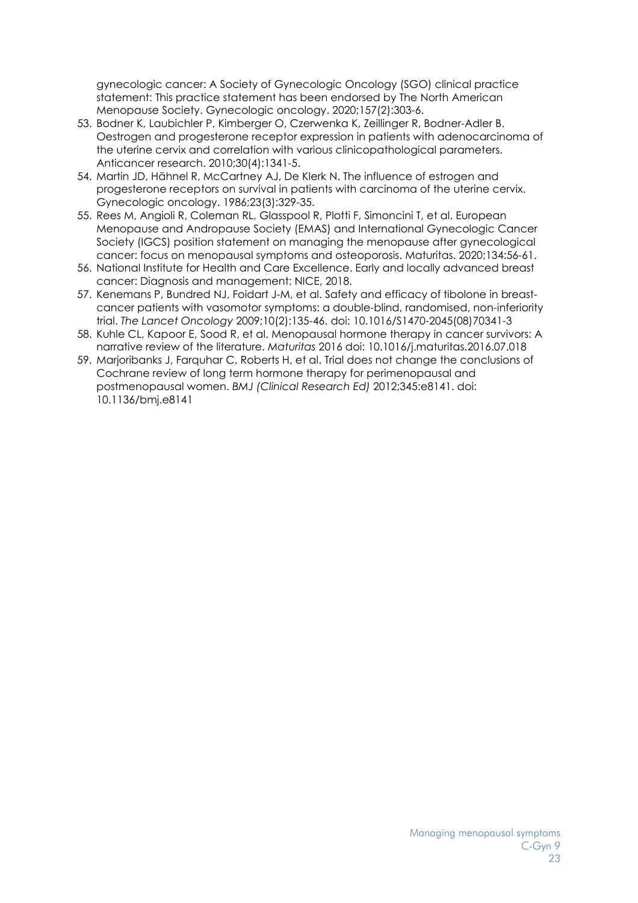gynecologic cancer: A Society of Gynecologic Oncology (SGO) clinical practice statement: This practice statement has been endorsed by The North American Menopause Society. Gynecologic oncology. 2020;157(2):303-6.

- 53. Bodner K, Laubichler P, Kimberger O, Czerwenka K, Zeillinger R, Bodner-Adler B. Oestrogen and progesterone receptor expression in patients with adenocarcinoma of the uterine cervix and correlation with various clinicopathological parameters. Anticancer research. 2010;30(4):1341-5.
- 54. Martin JD, Hähnel R, McCartney AJ, De Klerk N. The influence of estrogen and progesterone receptors on survival in patients with carcinoma of the uterine cervix. Gynecologic oncology. 1986;23(3):329-35.
- 55. Rees M, Angioli R, Coleman RL, Glasspool R, Plotti F, Simoncini T, et al. European Menopause and Andropause Society (EMAS) and International Gynecologic Cancer Society (IGCS) position statement on managing the menopause after gynecological cancer: focus on menopausal symptoms and osteoporosis. Maturitas. 2020;134:56-61.
- 56. National Institute for Health and Care Excellence. Early and locally advanced breast cancer: Diagnosis and management: NICE, 2018.
- 57. Kenemans P, Bundred NJ, Foidart J-M, et al. Safety and efficacy of tibolone in breastcancer patients with vasomotor symptoms: a double-blind, randomised, non-inferiority trial. *The Lancet Oncology* 2009;10(2):135-46. doi: 10.1016/S1470-2045(08)70341-3
- 58. Kuhle CL, Kapoor E, Sood R, et al. Menopausal hormone therapy in cancer survivors: A narrative review of the literature. *Maturitas* 2016 doi: 10.1016/j.maturitas.2016.07.018
- 59. Marjoribanks J, Farquhar C, Roberts H, et al. Trial does not change the conclusions of Cochrane review of long term hormone therapy for perimenopausal and postmenopausal women. *BMJ (Clinical Research Ed)* 2012;345:e8141. doi: 10.1136/bmj.e8141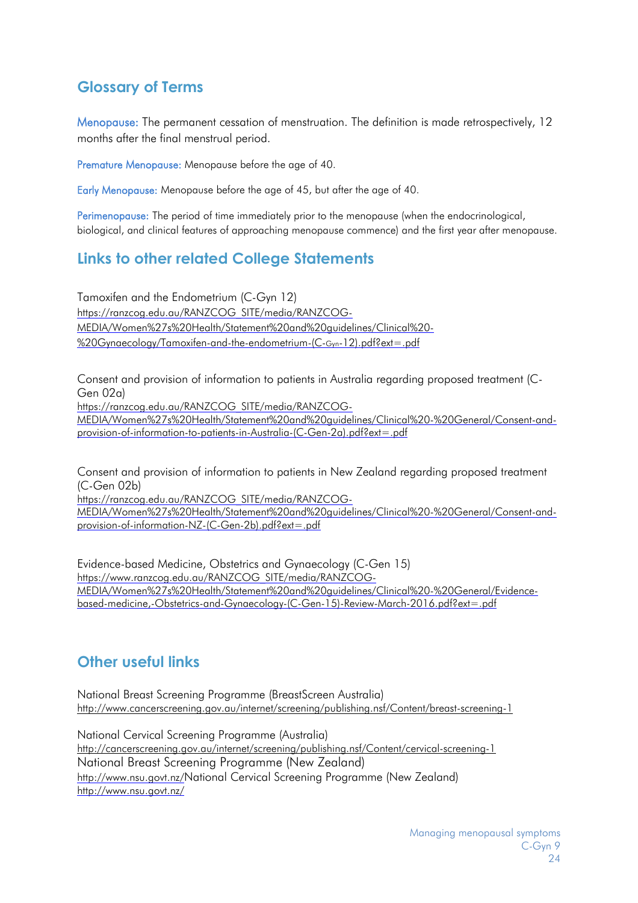# <span id="page-23-0"></span>**Glossary of Terms**

Menopause: The permanent cessation of menstruation. The definition is made retrospectively, 12 months after the final menstrual period.

Premature Menopause: Menopause before the age of 40.

Early Menopause: Menopause before the age of 45, but after the age of 40.

Perimenopause: The period of time immediately prior to the menopause (when the endocrinological, biological, and clinical features of approaching menopause commence) and the first year after menopause.

# <span id="page-23-1"></span>**Links to other related College Statements**

Tamoxifen and the Endometrium (C-Gyn 12) https://ranzcog.edu.au/RANZCOG\_SITE/media/RANZCOG-MEDIA/Women%27s%20Health/Statement%20and%20guidelines/Clinical%20- %20Gynaecology/Tamoxifen-and-the-endometrium-(C-Gyn-12).pdf?ext=.pdf

Consent and provision of information to patients in Australia regarding proposed treatment (C-Gen 02a)

[https://ranzcog.edu.au/RANZCOG\\_SITE/media/RANZCOG-](https://ranzcog.edu.au/RANZCOG_SITE/media/RANZCOG-MEDIA/Women%27s%20Health/Statement%20and%20guidelines/Clinical%20-%20General/Consent-and-provision-of-information-to-patients-in-Australia-(C-Gen-2a).pdf?ext=.pdf)

[MEDIA/Women%27s%20Health/Statement%20and%20guidelines/Clinical%20-%20General/Consent-and](https://ranzcog.edu.au/RANZCOG_SITE/media/RANZCOG-MEDIA/Women%27s%20Health/Statement%20and%20guidelines/Clinical%20-%20General/Consent-and-provision-of-information-to-patients-in-Australia-(C-Gen-2a).pdf?ext=.pdf)[provision-of-information-to-patients-in-Australia-\(C-Gen-2a\).pdf?ext=.pdf](https://ranzcog.edu.au/RANZCOG_SITE/media/RANZCOG-MEDIA/Women%27s%20Health/Statement%20and%20guidelines/Clinical%20-%20General/Consent-and-provision-of-information-to-patients-in-Australia-(C-Gen-2a).pdf?ext=.pdf)

Consent and provision of information to patients in New Zealand regarding proposed treatment (C-Gen 02b)

[https://ranzcog.edu.au/RANZCOG\\_SITE/media/RANZCOG-](https://ranzcog.edu.au/RANZCOG_SITE/media/RANZCOG-MEDIA/Women%27s%20Health/Statement%20and%20guidelines/Clinical%20-%20General/Consent-and-provision-of-information-NZ-(C-Gen-2b).pdf?ext=.pdf)[MEDIA/Women%27s%20Health/Statement%20and%20guidelines/Clinical%20-%20General/Consent-and](https://ranzcog.edu.au/RANZCOG_SITE/media/RANZCOG-MEDIA/Women%27s%20Health/Statement%20and%20guidelines/Clinical%20-%20General/Consent-and-provision-of-information-NZ-(C-Gen-2b).pdf?ext=.pdf)[provision-of-information-NZ-\(C-Gen-2b\).pdf?ext=.pdf](https://ranzcog.edu.au/RANZCOG_SITE/media/RANZCOG-MEDIA/Women%27s%20Health/Statement%20and%20guidelines/Clinical%20-%20General/Consent-and-provision-of-information-NZ-(C-Gen-2b).pdf?ext=.pdf)

Evidence-based Medicine, Obstetrics and Gynaecology (C-Gen 15) [https://www.ranzcog.edu.au/RANZCOG\\_SITE/media/RANZCOG-](https://www.ranzcog.edu.au/RANZCOG_SITE/media/RANZCOG-MEDIA/Women%27s%20Health/Statement%20and%20guidelines/Clinical%20-%20General/Evidence-based-medicine,-Obstetrics-and-Gynaecology-(C-Gen-15)-Review-March-2016.pdf?ext=.pdf)[MEDIA/Women%27s%20Health/Statement%20and%20guidelines/Clinical%20-%20General/Evidence](https://www.ranzcog.edu.au/RANZCOG_SITE/media/RANZCOG-MEDIA/Women%27s%20Health/Statement%20and%20guidelines/Clinical%20-%20General/Evidence-based-medicine,-Obstetrics-and-Gynaecology-(C-Gen-15)-Review-March-2016.pdf?ext=.pdf)[based-medicine,-Obstetrics-and-Gynaecology-\(C-Gen-15\)-Review-March-2016.pdf?ext=.pdf](https://www.ranzcog.edu.au/RANZCOG_SITE/media/RANZCOG-MEDIA/Women%27s%20Health/Statement%20and%20guidelines/Clinical%20-%20General/Evidence-based-medicine,-Obstetrics-and-Gynaecology-(C-Gen-15)-Review-March-2016.pdf?ext=.pdf)

# <span id="page-23-2"></span>**Other useful links**

National Breast Screening Programme (BreastScreen Australia) <http://www.cancerscreening.gov.au/internet/screening/publishing.nsf/Content/breast-screening-1>

National Cervical Screening Programme (Australia) <http://cancerscreening.gov.au/internet/screening/publishing.nsf/Content/cervical-screening-1> National Breast Screening Programme (New Zealand) [http://www.nsu.govt.nz/N](http://www.nsu.govt.nz/)ational Cervical Screening Programme (New Zealand) <http://www.nsu.govt.nz/>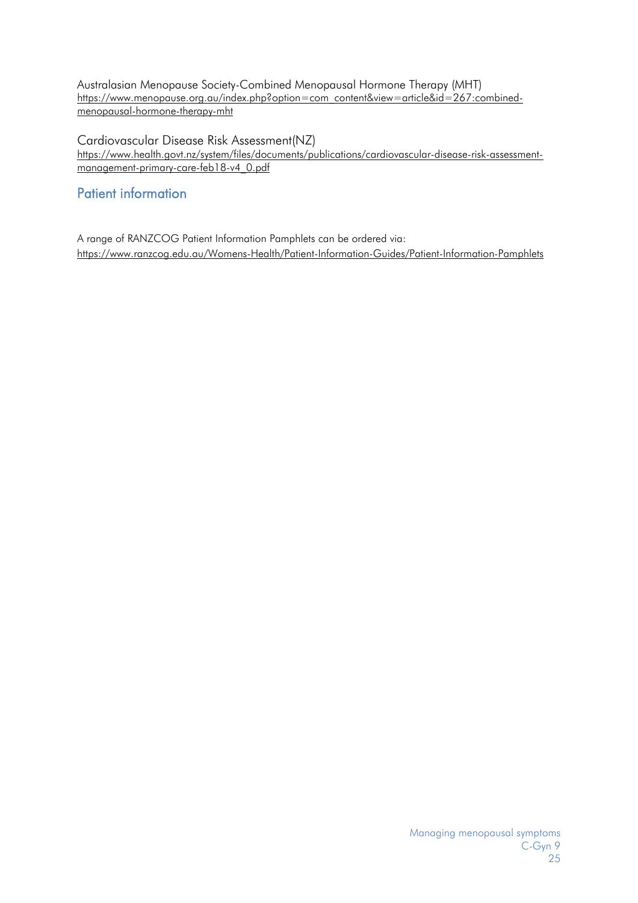Australasian Menopause Society-Combined Menopausal Hormone Therapy (MHT) [https://www.menopause.org.au/index.php?option=com\\_content&view=article&id=267:combined](https://www.menopause.org.au/index.php?option=com_content&view=article&id=267:combined-menopausal-hormone-therapy-mht)[menopausal-hormone-therapy-mht](https://www.menopause.org.au/index.php?option=com_content&view=article&id=267:combined-menopausal-hormone-therapy-mht)

Cardiovascular Disease Risk Assessment(NZ) [https://www.health.govt.nz/system/files/documents/publications/cardiovascular-disease-risk-assessment](https://www.health.govt.nz/system/files/documents/publications/cardiovascular-disease-risk-assessment-management-primary-care-feb18-v4_0.pdf)[management-primary-care-feb18-v4\\_0.pdf](https://www.health.govt.nz/system/files/documents/publications/cardiovascular-disease-risk-assessment-management-primary-care-feb18-v4_0.pdf)

### <span id="page-24-0"></span>Patient information

A range of RANZCOG Patient Information Pamphlets can be ordered via: <https://www.ranzcog.edu.au/Womens-Health/Patient-Information-Guides/Patient-Information-Pamphlets>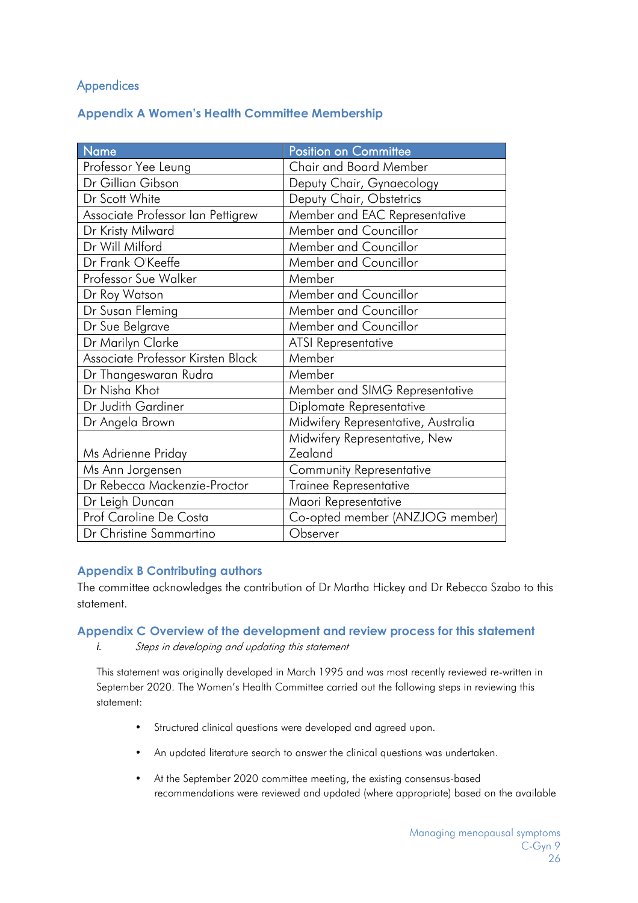### <span id="page-25-1"></span>Appendices

#### <span id="page-25-0"></span>**Appendix A Women's Health Committee Membership**

| Name                              | <b>Position on Committee</b>        |  |
|-----------------------------------|-------------------------------------|--|
| Professor Yee Leung               | Chair and Board Member              |  |
| Dr Gillian Gibson                 | Deputy Chair, Gynaecology           |  |
| Dr Scott White                    | Deputy Chair, Obstetrics            |  |
| Associate Professor Ian Pettigrew | Member and EAC Representative       |  |
| Dr Kristy Milward                 | Member and Councillor               |  |
| Dr Will Milford                   | Member and Councillor               |  |
| Dr Frank O'Keeffe                 | <b>Member and Councillor</b>        |  |
| Professor Sue Walker              | Member                              |  |
| Dr Roy Watson                     | Member and Councillor               |  |
| Dr Susan Fleming                  | <b>Member and Councillor</b>        |  |
| Dr Sue Belgrave                   | Member and Councillor               |  |
| Dr Marilyn Clarke                 | <b>ATSI Representative</b>          |  |
| Associate Professor Kirsten Black | Member                              |  |
| Dr Thangeswaran Rudra             | Member                              |  |
| Dr Nisha Khot                     | Member and SIMG Representative      |  |
| Dr Judith Gardiner                | Diplomate Representative            |  |
| Dr Angela Brown                   | Midwifery Representative, Australia |  |
|                                   | Midwifery Representative, New       |  |
| Ms Adrienne Priday                | Zealand                             |  |
| Ms Ann Jorgensen                  | <b>Community Representative</b>     |  |
| Dr Rebecca Mackenzie-Proctor      | Trainee Representative              |  |
| Dr Leigh Duncan                   | Maori Representative                |  |
| Prof Caroline De Costa            | Co-opted member (ANZJOG member)     |  |
| Dr Christine Sammartino           | Observer                            |  |

#### <span id="page-25-2"></span>**Appendix B Contributing authors**

The committee acknowledges the contribution of Dr Martha Hickey and Dr Rebecca Szabo to this statement.

#### <span id="page-25-3"></span>**Appendix C Overview of the development and review process for this statement**

*i.* Steps in developing and updating this statement

This statement was originally developed in March 1995 and was most recently reviewed re-written in September 2020. The Women's Health Committee carried out the following steps in reviewing this statement:

- Structured clinical questions were developed and agreed upon.
- An updated literature search to answer the clinical questions was undertaken.
- At the September 2020 committee meeting, the existing consensus-based recommendations were reviewed and updated (where appropriate) based on the available